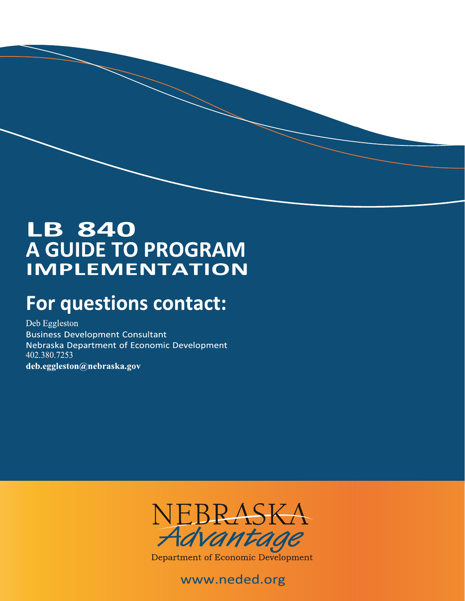# **LB 840 A GUIDE TO PROGRAM IMPLEMENTATION**

# **For questions contact:**

Deb Eggleston **Business Development Consultant** Nebraska Department of Economic Development 402.380.7253 deb.eggleston@nebraska.gov



Department of Economic Development

## www.neded.org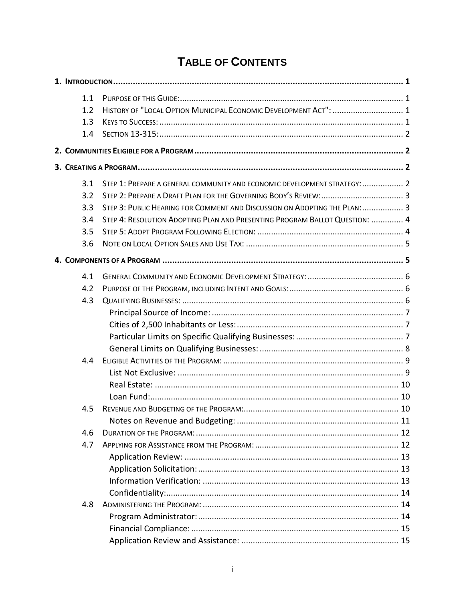## **TABLE OF CONTENTS**

| 1.1 |                                                                             |  |
|-----|-----------------------------------------------------------------------------|--|
| 1.2 | HISTORY OF "LOCAL OPTION MUNICIPAL ECONOMIC DEVELOPMENT ACT":  1            |  |
| 1.3 |                                                                             |  |
| 1.4 |                                                                             |  |
|     |                                                                             |  |
|     |                                                                             |  |
| 3.1 | STEP 1: PREPARE A GENERAL COMMUNITY AND ECONOMIC DEVELOPMENT STRATEGY:  2   |  |
| 3.2 |                                                                             |  |
| 3.3 | STEP 3: PUBLIC HEARING FOR COMMENT AND DISCUSSION ON ADOPTING THE PLAN:  3  |  |
| 3.4 | STEP 4: RESOLUTION ADOPTING PLAN AND PRESENTING PROGRAM BALLOT QUESTION:  4 |  |
| 3.5 |                                                                             |  |
| 3.6 |                                                                             |  |
|     |                                                                             |  |
| 4.1 |                                                                             |  |
| 4.2 |                                                                             |  |
| 4.3 |                                                                             |  |
|     |                                                                             |  |
|     |                                                                             |  |
|     |                                                                             |  |
|     |                                                                             |  |
| 4.4 |                                                                             |  |
|     |                                                                             |  |
|     |                                                                             |  |
|     |                                                                             |  |
| 4.5 |                                                                             |  |
|     |                                                                             |  |
| 4.6 |                                                                             |  |
| 4.7 |                                                                             |  |
|     |                                                                             |  |
|     |                                                                             |  |
|     |                                                                             |  |
|     |                                                                             |  |
| 4.8 |                                                                             |  |
|     |                                                                             |  |
|     |                                                                             |  |
|     |                                                                             |  |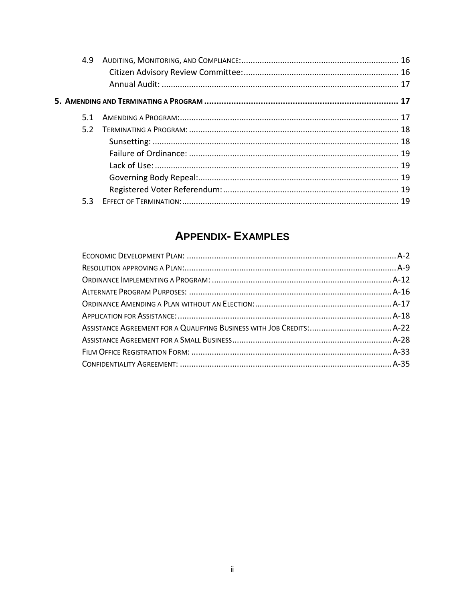| 4.9 |  |
|-----|--|
|     |  |
|     |  |
| 5.1 |  |
| 5.2 |  |
|     |  |
|     |  |
|     |  |
|     |  |
|     |  |
| 5.3 |  |

## **APPENDIX- EXAMPLES**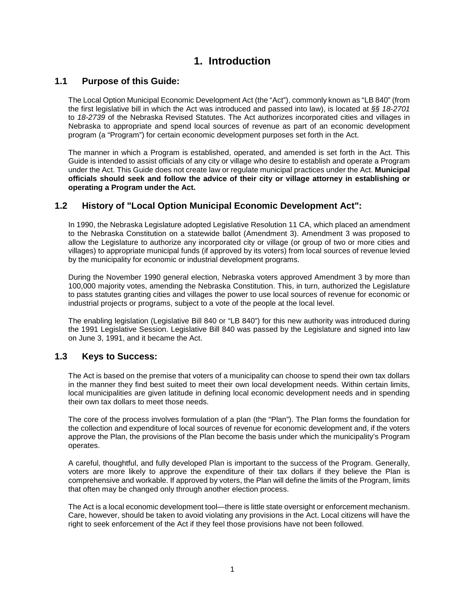## **1. Introduction**

## <span id="page-3-1"></span><span id="page-3-0"></span>**1.1 Purpose of this Guide:**

The Local Option Municipal Economic Development Act (the "Act"), commonly known as "LB 840" (from the first legislative bill in which the Act was introduced and passed into law), is located at *§§ 18-2701* to *18-2739* of the Nebraska Revised Statutes. The Act authorizes incorporated cities and villages in Nebraska to appropriate and spend local sources of revenue as part of an economic development program (a "Program") for certain economic development purposes set forth in the Act.

The manner in which a Program is established, operated, and amended is set forth in the Act. This Guide is intended to assist officials of any city or village who desire to establish and operate a Program under the Act. This Guide does not create law or regulate municipal practices under the Act. **Municipal officials should seek and follow the advice of their city or village attorney in establishing or operating a Program under the Act.**

## <span id="page-3-2"></span>**1.2 History of "Local Option Municipal Economic Development Act":**

In 1990, the Nebraska Legislature adopted Legislative Resolution 11 CA, which placed an amendment to the Nebraska Constitution on a statewide ballot (Amendment 3). Amendment 3 was proposed to allow the Legislature to authorize any incorporated city or village (or group of two or more cities and villages) to appropriate municipal funds (if approved by its voters) from local sources of revenue levied by the municipality for economic or industrial development programs.

During the November 1990 general election, Nebraska voters approved Amendment 3 by more than 100,000 majority votes, amending the Nebraska Constitution. This, in turn, authorized the Legislature to pass statutes granting cities and villages the power to use local sources of revenue for economic or industrial projects or programs, subject to a vote of the people at the local level.

The enabling legislation (Legislative Bill 840 or "LB 840") for this new authority was introduced during the 1991 Legislative Session. Legislative Bill 840 was passed by the Legislature and signed into law on June 3, 1991, and it became the Act.

## <span id="page-3-3"></span>**1.3 Keys to Success:**

The Act is based on the premise that voters of a municipality can choose to spend their own tax dollars in the manner they find best suited to meet their own local development needs. Within certain limits, local municipalities are given latitude in defining local economic development needs and in spending their own tax dollars to meet those needs.

The core of the process involves formulation of a plan (the "Plan"). The Plan forms the foundation for the collection and expenditure of local sources of revenue for economic development and, if the voters approve the Plan, the provisions of the Plan become the basis under which the municipality's Program operates.

A careful, thoughtful, and fully developed Plan is important to the success of the Program. Generally, voters are more likely to approve the expenditure of their tax dollars if they believe the Plan is comprehensive and workable. If approved by voters, the Plan will define the limits of the Program, limits that often may be changed only through another election process.

The Act is a local economic development tool—there is little state oversight or enforcement mechanism. Care, however, should be taken to avoid violating any provisions in the Act. Local citizens will have the right to seek enforcement of the Act if they feel those provisions have not been followed.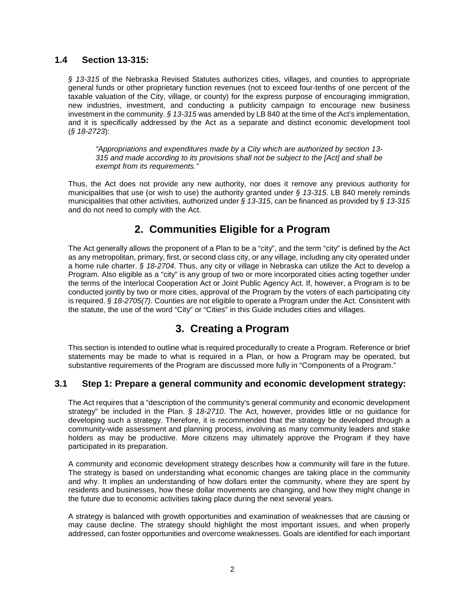## <span id="page-4-0"></span>**1.4 Section 13-315:**

§ 13-315 of the Nebraska Revised Statutes authorizes cities, villages, and counties to appropriate general funds or other proprietary function revenues (not to exceed four-tenths of one percent of the taxable valuation of the City, village, or county) for the express purpose of encouraging immigration, new industries, investment, and conducting a publicity campaign to encourage new business investment in the community. *§ 13-315* was amended by LB 840 at the time of the Act's implementation, and it is specifically addressed by the Act as a separate and distinct economic development tool (*§ 18-2723*):

*"Appropriations and expenditures made by a City which are authorized by section 13- 315 and made according to its provisions shall not be subject to the [Act] and shall be exempt from its requirements."*

Thus, the Act does not provide any new authority, nor does it remove any previous authority for municipalities that use (or wish to use) the authority granted under *§ 13-315*. LB 840 merely reminds municipalities that other activities, authorized under *§ 13-315*, can be financed as provided by *§ 13-315* and do not need to comply with the Act.

## **2. Communities Eligible for a Program**

<span id="page-4-1"></span>The Act generally allows the proponent of a Plan to be a "city", and the term "city" is defined by the Act as any metropolitan, primary, first, or second class city, or any village, including any city operated under a home rule charter. *§ 18-2704*. Thus, any city or village in Nebraska can utilize the Act to develop a Program. Also eligible as a "city" is any group of two or more incorporated cities acting together under the terms of the Interlocal Cooperation Act or Joint Public Agency Act. If, however, a Program is to be conducted jointly by two or more cities, approval of the Program by the voters of each participating city is required. *§ 18-2705(7)*. Counties are not eligible to operate a Program under the Act. Consistent with the statute, the use of the word "City" or "Cities" in this Guide includes cities and villages.

## **3. Creating a Program**

<span id="page-4-2"></span>This section is intended to outline what is required procedurally to create a Program. Reference or brief statements may be made to what is required in a Plan, or how a Program may be operated, but substantive requirements of the Program are discussed more fully in "Components of a Program."

## <span id="page-4-3"></span>**3.1 Step 1: Prepare a general community and economic development strategy:**

The Act requires that a "description of the community's general community and economic development strategy" be included in the Plan. *§ 18-2710*. The Act, however, provides little or no guidance for developing such a strategy. Therefore, it is recommended that the strategy be developed through a community-wide assessment and planning process, involving as many community leaders and stake holders as may be productive. More citizens may ultimately approve the Program if they have participated in its preparation.

A community and economic development strategy describes how a community will fare in the future. The strategy is based on understanding what economic changes are taking place in the community and why. It implies an understanding of how dollars enter the community, where they are spent by residents and businesses, how these dollar movements are changing, and how they might change in the future due to economic activities taking place during the next several years.

A strategy is balanced with growth opportunities and examination of weaknesses that are causing or may cause decline. The strategy should highlight the most important issues, and when properly addressed, can foster opportunities and overcome weaknesses. Goals are identified for each important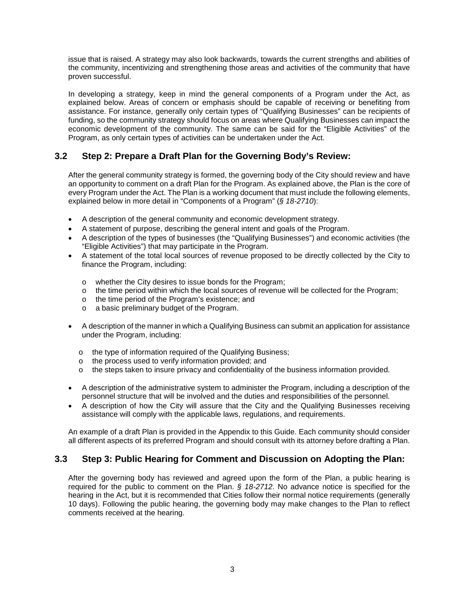issue that is raised. A strategy may also look backwards, towards the current strengths and abilities of the community, incentivizing and strengthening those areas and activities of the community that have proven successful.

In developing a strategy, keep in mind the general components of a Program under the Act, as explained below. Areas of concern or emphasis should be capable of receiving or benefiting from assistance. For instance, generally only certain types of "Qualifying Businesses" can be recipients of funding, so the community strategy should focus on areas where Qualifying Businesses can impact the economic development of the community. The same can be said for the "Eligible Activities" of the Program, as only certain types of activities can be undertaken under the Act.

## <span id="page-5-0"></span>**3.2 Step 2: Prepare a Draft Plan for the Governing Body's Review:**

After the general community strategy is formed, the governing body of the City should review and have an opportunity to comment on a draft Plan for the Program. As explained above, the Plan is the core of every Program under the Act. The Plan is a working document that must include the following elements, explained below in more detail in "Components of a Program" (*§ 18-2710*):

- A description of the general community and economic development strategy.
- A statement of purpose, describing the general intent and goals of the Program.
- A description of the types of businesses (the "Qualifying Businesses") and economic activities (the "Eligible Activities") that may participate in the Program.
- A statement of the total local sources of revenue proposed to be directly collected by the City to finance the Program, including:
	- o whether the City desires to issue bonds for the Program;
	- $\circ$  the time period within which the local sources of revenue will be collected for the Program;
	- o the time period of the Program's existence; and
	- o a basic preliminary budget of the Program.
- A description of the manner in which a Qualifying Business can submit an application for assistance under the Program, including:
	- o the type of information required of the Qualifying Business;
	- o the process used to verify information provided; and
	- $\circ$  the steps taken to insure privacy and confidentiality of the business information provided.
- A description of the administrative system to administer the Program, including a description of the personnel structure that will be involved and the duties and responsibilities of the personnel.
- A description of how the City will assure that the City and the Qualifying Businesses receiving assistance will comply with the applicable laws, regulations, and requirements.

An example of a draft Plan is provided in the Appendix to this Guide. Each community should consider all different aspects of its preferred Program and should consult with its attorney before drafting a Plan.

## <span id="page-5-1"></span>**3.3 Step 3: Public Hearing for Comment and Discussion on Adopting the Plan:**

After the governing body has reviewed and agreed upon the form of the Plan, a public hearing is required for the public to comment on the Plan. *§ 18-2712*. No advance notice is specified for the hearing in the Act, but it is recommended that Cities follow their normal notice requirements (generally 10 days). Following the public hearing, the governing body may make changes to the Plan to reflect comments received at the hearing.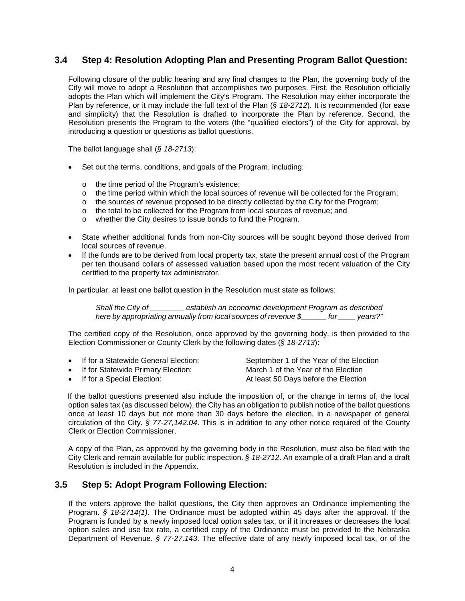## <span id="page-6-0"></span>**3.4 Step 4: Resolution Adopting Plan and Presenting Program Ballot Question:**

Following closure of the public hearing and any final changes to the Plan, the governing body of the City will move to adopt a Resolution that accomplishes two purposes. First, the Resolution officially adopts the Plan which will implement the City's Program. The Resolution may either incorporate the Plan by reference, or it may include the full text of the Plan (*§ 18-2712*). It is recommended (for ease and simplicity) that the Resolution is drafted to incorporate the Plan by reference. Second, the Resolution presents the Program to the voters (the "qualified electors") of the City for approval, by introducing a question or questions as ballot questions.

The ballot language shall (*§ 18-2713*):

- Set out the terms, conditions, and goals of the Program, including:
	- o the time period of the Program's existence;
	- o the time period within which the local sources of revenue will be collected for the Program;
	- $\circ$  the sources of revenue proposed to be directly collected by the City for the Program;
	- o the total to be collected for the Program from local sources of revenue; and
	- o whether the City desires to issue bonds to fund the Program.
- State whether additional funds from non-City sources will be sought beyond those derived from local sources of revenue.
- If the funds are to be derived from local property tax, state the present annual cost of the Program per ten thousand collars of assessed valuation based upon the most recent valuation of the City certified to the property tax administrator.

In particular, at least one ballot question in the Resolution must state as follows:

*Shall the City of \_\_\_\_\_\_\_\_ establish an economic development Program as described here by appropriating annually from local sources of revenue \$\_\_\_\_\_\_ for \_\_\_\_ years?"*

The certified copy of the Resolution, once approved by the governing body, is then provided to the Election Commissioner or County Clerk by the following dates (*§ 18-2713*):

- If for a Statewide General Election: September 1 of the Year of the Election
- If for Statewide Primary Election: March 1 of the Year of the Election

• If for a Special Election:  $\overline{\phantom{a}}$  At least 50 Days before the Election

If the ballot questions presented also include the imposition of, or the change in terms of, the local option sales tax (as discussed below), the City has an obligation to publish notice of the ballot questions once at least 10 days but not more than 30 days before the election, in a newspaper of general circulation of the City. *§ 77-27,142.04*. This is in addition to any other notice required of the County Clerk or Election Commissioner.

A copy of the Plan, as approved by the governing body in the Resolution, must also be filed with the City Clerk and remain available for public inspection. *§ 18-2712*. An example of a draft Plan and a draft Resolution is included in the Appendix.

## <span id="page-6-1"></span>**3.5 Step 5: Adopt Program Following Election:**

If the voters approve the ballot questions, the City then approves an Ordinance implementing the Program. *§ 18-2714(1)*. The Ordinance must be adopted within 45 days after the approval. If the Program is funded by a newly imposed local option sales tax, or if it increases or decreases the local option sales and use tax rate, a certified copy of the Ordinance must be provided to the Nebraska Department of Revenue. *§ 77-27,143*. The effective date of any newly imposed local tax, or of the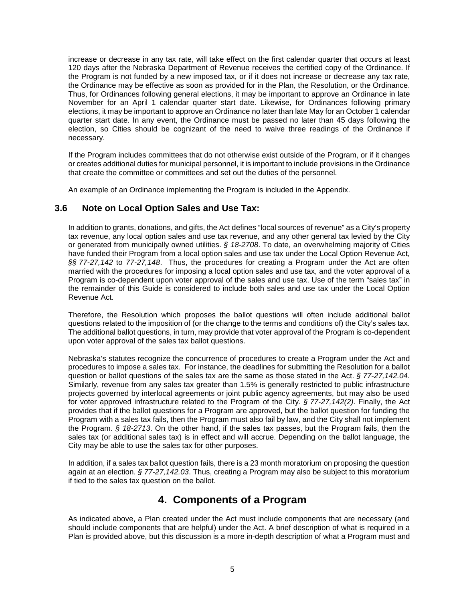increase or decrease in any tax rate, will take effect on the first calendar quarter that occurs at least 120 days after the Nebraska Department of Revenue receives the certified copy of the Ordinance. If the Program is not funded by a new imposed tax, or if it does not increase or decrease any tax rate, the Ordinance may be effective as soon as provided for in the Plan, the Resolution, or the Ordinance. Thus, for Ordinances following general elections, it may be important to approve an Ordinance in late November for an April 1 calendar quarter start date. Likewise, for Ordinances following primary elections, it may be important to approve an Ordinance no later than late May for an October 1 calendar quarter start date. In any event, the Ordinance must be passed no later than 45 days following the election, so Cities should be cognizant of the need to waive three readings of the Ordinance if necessary.

If the Program includes committees that do not otherwise exist outside of the Program, or if it changes or creates additional duties for municipal personnel, it is important to include provisions in the Ordinance that create the committee or committees and set out the duties of the personnel.

An example of an Ordinance implementing the Program is included in the Appendix.

## <span id="page-7-0"></span>**3.6 Note on Local Option Sales and Use Tax:**

In addition to grants, donations, and gifts, the Act defines "local sources of revenue" as a City's property tax revenue, any local option sales and use tax revenue, and any other general tax levied by the City or generated from municipally owned utilities. *§ 18-2708*. To date, an overwhelming majority of Cities have funded their Program from a local option sales and use tax under the Local Option Revenue Act, *§§ 77-27,142* to *77-27,148*. Thus, the procedures for creating a Program under the Act are often married with the procedures for imposing a local option sales and use tax, and the voter approval of a Program is co-dependent upon voter approval of the sales and use tax. Use of the term "sales tax" in the remainder of this Guide is considered to include both sales and use tax under the Local Option Revenue Act.

Therefore, the Resolution which proposes the ballot questions will often include additional ballot questions related to the imposition of (or the change to the terms and conditions of) the City's sales tax. The additional ballot questions, in turn, may provide that voter approval of the Program is co-dependent upon voter approval of the sales tax ballot questions.

Nebraska's statutes recognize the concurrence of procedures to create a Program under the Act and procedures to impose a sales tax. For instance, the deadlines for submitting the Resolution for a ballot question or ballot questions of the sales tax are the same as those stated in the Act. *§ 77-27,142.04*. Similarly, revenue from any sales tax greater than 1.5% is generally restricted to public infrastructure projects governed by interlocal agreements or joint public agency agreements, but may also be used for voter approved infrastructure related to the Program of the City. *§ 77-27,142(2)*. Finally, the Act provides that if the ballot questions for a Program are approved, but the ballot question for funding the Program with a sales tax fails, then the Program must also fail by law, and the City shall not implement the Program. *§ 18-2713*. On the other hand, if the sales tax passes, but the Program fails, then the sales tax (or additional sales tax) is in effect and will accrue. Depending on the ballot language, the City may be able to use the sales tax for other purposes.

In addition, if a sales tax ballot question fails, there is a 23 month moratorium on proposing the question again at an election. *§ 77-27,142.03*. Thus, creating a Program may also be subject to this moratorium if tied to the sales tax question on the ballot.

## **4. Components of a Program**

<span id="page-7-1"></span>As indicated above, a Plan created under the Act must include components that are necessary (and should include components that are helpful) under the Act. A brief description of what is required in a Plan is provided above, but this discussion is a more in-depth description of what a Program must and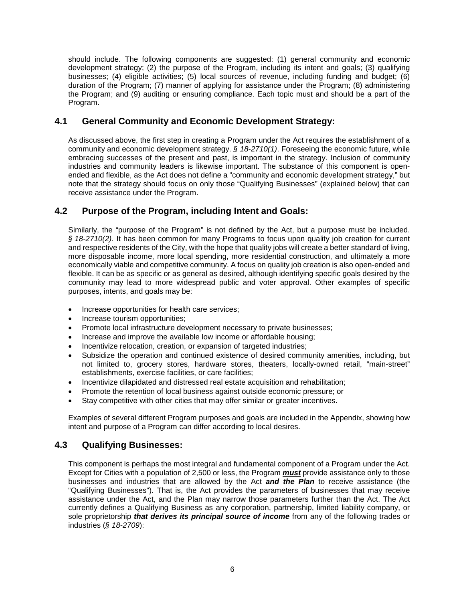should include. The following components are suggested: (1) general community and economic development strategy; (2) the purpose of the Program, including its intent and goals; (3) qualifying businesses; (4) eligible activities; (5) local sources of revenue, including funding and budget; (6) duration of the Program; (7) manner of applying for assistance under the Program; (8) administering the Program; and (9) auditing or ensuring compliance. Each topic must and should be a part of the Program.

## <span id="page-8-0"></span>**4.1 General Community and Economic Development Strategy:**

As discussed above, the first step in creating a Program under the Act requires the establishment of a community and economic development strategy. *§ 18-2710(1)*. Foreseeing the economic future, while embracing successes of the present and past, is important in the strategy. Inclusion of community industries and community leaders is likewise important. The substance of this component is openended and flexible, as the Act does not define a "community and economic development strategy," but note that the strategy should focus on only those "Qualifying Businesses" (explained below) that can receive assistance under the Program.

## <span id="page-8-1"></span>**4.2 Purpose of the Program, including Intent and Goals:**

Similarly, the "purpose of the Program" is not defined by the Act, but a purpose must be included. *§ 18-2710(2)*. It has been common for many Programs to focus upon quality job creation for current and respective residents of the City, with the hope that quality jobs will create a better standard of living, more disposable income, more local spending, more residential construction, and ultimately a more economically viable and competitive community. A focus on quality job creation is also open-ended and flexible. It can be as specific or as general as desired, although identifying specific goals desired by the community may lead to more widespread public and voter approval. Other examples of specific purposes, intents, and goals may be:

- Increase opportunities for health care services;
- Increase tourism opportunities;
- Promote local infrastructure development necessary to private businesses;
- Increase and improve the available low income or affordable housing;
- Incentivize relocation, creation, or expansion of targeted industries;
- Subsidize the operation and continued existence of desired community amenities, including, but not limited to, grocery stores, hardware stores, theaters, locally-owned retail, "main-street" establishments, exercise facilities, or care facilities;
- Incentivize dilapidated and distressed real estate acquisition and rehabilitation;
- Promote the retention of local business against outside economic pressure; or
- Stay competitive with other cities that may offer similar or greater incentives.

Examples of several different Program purposes and goals are included in the Appendix, showing how intent and purpose of a Program can differ according to local desires.

## <span id="page-8-2"></span>**4.3 Qualifying Businesses:**

This component is perhaps the most integral and fundamental component of a Program under the Act. Except for Cities with a population of 2,500 or less, the Program *must* provide assistance only to those businesses and industries that are allowed by the Act *and the Plan* to receive assistance (the "Qualifying Businesses"). That is, the Act provides the parameters of businesses that may receive assistance under the Act, and the Plan may narrow those parameters further than the Act. The Act currently defines a Qualifying Business as any corporation, partnership, limited liability company, or sole proprietorship *that derives its principal source of income* from any of the following trades or industries (*§ 18-2709*):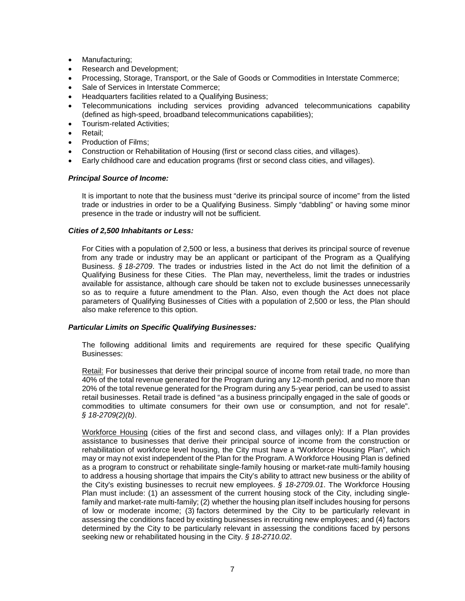- Manufacturing;
- Research and Development;
- Processing, Storage, Transport, or the Sale of Goods or Commodities in Interstate Commerce;
- Sale of Services in Interstate Commerce;
- Headquarters facilities related to a Qualifying Business;
- Telecommunications including services providing advanced telecommunications capability (defined as high-speed, broadband telecommunications capabilities);
- Tourism-related Activities;
- Retail;
- Production of Films;
- Construction or Rehabilitation of Housing (first or second class cities, and villages).
- Early childhood care and education programs (first or second class cities, and villages).

#### <span id="page-9-0"></span>*Principal Source of Income:*

It is important to note that the business must "derive its principal source of income" from the listed trade or industries in order to be a Qualifying Business. Simply "dabbling" or having some minor presence in the trade or industry will not be sufficient.

#### <span id="page-9-1"></span>*Cities of 2,500 Inhabitants or Less:*

For Cities with a population of 2,500 or less, a business that derives its principal source of revenue from any trade or industry may be an applicant or participant of the Program as a Qualifying Business. *§ 18-2709*. The trades or industries listed in the Act do not limit the definition of a Qualifying Business for these Cities. The Plan may, nevertheless, limit the trades or industries available for assistance, although care should be taken not to exclude businesses unnecessarily so as to require a future amendment to the Plan. Also, even though the Act does not place parameters of Qualifying Businesses of Cities with a population of 2,500 or less, the Plan should also make reference to this option.

#### <span id="page-9-2"></span>*Particular Limits on Specific Qualifying Businesses:*

The following additional limits and requirements are required for these specific Qualifying Businesses:

Retail: For businesses that derive their principal source of income from retail trade, no more than 40% of the total revenue generated for the Program during any 12-month period, and no more than 20% of the total revenue generated for the Program during any 5-year period, can be used to assist retail businesses. Retail trade is defined "as a business principally engaged in the sale of goods or commodities to ultimate consumers for their own use or consumption, and not for resale". *§ 18-2709(2)(b)*.

Workforce Housing (cities of the first and second class, and villages only): If a Plan provides assistance to businesses that derive their principal source of income from the construction or rehabilitation of workforce level housing, the City must have a "Workforce Housing Plan", which may or may not exist independent of the Plan for the Program. A Workforce Housing Plan is defined as a program to construct or rehabilitate single-family housing or market-rate multi-family housing to address a housing shortage that impairs the City's ability to attract new business or the ability of the City's existing businesses to recruit new employees. *§ 18-2709.01*. The Workforce Housing Plan must include: (1) an assessment of the current housing stock of the City, including singlefamily and market-rate multi-family; (2) whether the housing plan itself includes housing for persons of low or moderate income; (3) factors determined by the City to be particularly relevant in assessing the conditions faced by existing businesses in recruiting new employees; and (4) factors determined by the City to be particularly relevant in assessing the conditions faced by persons seeking new or rehabilitated housing in the City. *§ 18-2710.02*.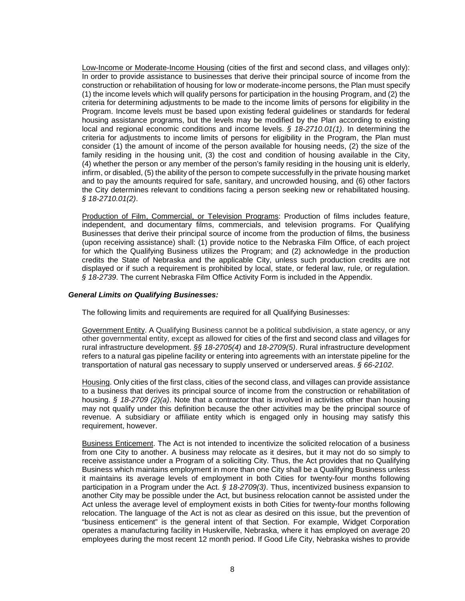Low-Income or Moderate-Income Housing (cities of the first and second class, and villages only): In order to provide assistance to businesses that derive their principal source of income from the construction or rehabilitation of housing for low or moderate-income persons, the Plan must specify (1) the income levels which will qualify persons for participation in the housing Program, and (2) the criteria for determining adjustments to be made to the income limits of persons for eligibility in the Program. Income levels must be based upon existing federal guidelines or standards for federal housing assistance programs, but the levels may be modified by the Plan according to existing local and regional economic conditions and income levels. *§ 18-2710.01(1)*. In determining the criteria for adjustments to income limits of persons for eligibility in the Program, the Plan must consider (1) the amount of income of the person available for housing needs, (2) the size of the family residing in the housing unit, (3) the cost and condition of housing available in the City, (4) whether the person or any member of the person's family residing in the housing unit is elderly, infirm, or disabled, (5) the ability of the person to compete successfully in the private housing market and to pay the amounts required for safe, sanitary, and uncrowded housing, and (6) other factors the City determines relevant to conditions facing a person seeking new or rehabilitated housing. *§ 18-2710.01(2)*.

Production of Film, Commercial, or Television Programs: Production of films includes feature, independent, and documentary films, commercials, and television programs. For Qualifying Businesses that derive their principal source of income from the production of films, the business (upon receiving assistance) shall: (1) provide notice to the Nebraska Film Office, of each project for which the Qualifying Business utilizes the Program; and (2) acknowledge in the production credits the State of Nebraska and the applicable City, unless such production credits are not displayed or if such a requirement is prohibited by local, state, or federal law, rule, or regulation. *§ 18-2739*. The current Nebraska Film Office Activity Form is included in the Appendix.

#### <span id="page-10-0"></span>*General Limits on Qualifying Businesses:*

The following limits and requirements are required for all Qualifying Businesses:

Government Entity. A Qualifying Business cannot be a political subdivision, a state agency, or any other governmental entity, except as allowed for cities of the first and second class and villages for rural infrastructure development. *§§ 18-2705(4)* and *18-2709(5)*. Rural infrastructure development refers to a natural gas pipeline facility or entering into agreements with an interstate pipeline for the transportation of natural gas necessary to supply unserved or underserved areas. *§ 66-2102*.

Housing. Only cities of the first class, cities of the second class, and villages can provide assistance to a business that derives its principal source of income from the construction or rehabilitation of housing. *§ 18-2709 (2)(a)*. Note that a contractor that is involved in activities other than housing may not qualify under this definition because the other activities may be the principal source of revenue. A subsidiary or affiliate entity which is engaged only in housing may satisfy this requirement, however.

Business Enticement. The Act is not intended to incentivize the solicited relocation of a business from one City to another. A business may relocate as it desires, but it may not do so simply to receive assistance under a Program of a soliciting City. Thus, the Act provides that no Qualifying Business which maintains employment in more than one City shall be a Qualifying Business unless it maintains its average levels of employment in both Cities for twenty-four months following participation in a Program under the Act. *§ 18-2709(3)*. Thus, incentivized business expansion to another City may be possible under the Act, but business relocation cannot be assisted under the Act unless the average level of employment exists in both Cities for twenty-four months following relocation. The language of the Act is not as clear as desired on this issue, but the prevention of "business enticement" is the general intent of that Section. For example, Widget Corporation operates a manufacturing facility in Huskerville, Nebraska, where it has employed on average 20 employees during the most recent 12 month period. If Good Life City, Nebraska wishes to provide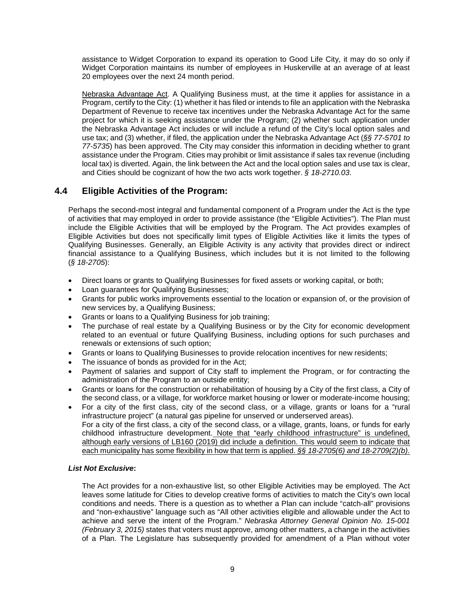assistance to Widget Corporation to expand its operation to Good Life City, it may do so only if Widget Corporation maintains its number of employees in Huskerville at an average of at least 20 employees over the next 24 month period.

Nebraska Advantage Act. A Qualifying Business must, at the time it applies for assistance in a Program, certify to the City: (1) whether it has filed or intends to file an application with the Nebraska Department of Revenue to receive tax incentives under the Nebraska Advantage Act for the same project for which it is seeking assistance under the Program; (2) whether such application under the Nebraska Advantage Act includes or will include a refund of the City's local option sales and use tax; and (3) whether, if filed, the application under the Nebraska Advantage Act (*§§ 77-5701 to 77-5735*) has been approved. The City may consider this information in deciding whether to grant assistance under the Program. Cities may prohibit or limit assistance if sales tax revenue (including local tax) is diverted. Again, the link between the Act and the local option sales and use tax is clear, and Cities should be cognizant of how the two acts work together. *§ 18-2710.03*.

## <span id="page-11-0"></span>**4.4 Eligible Activities of the Program:**

Perhaps the second-most integral and fundamental component of a Program under the Act is the type of activities that may employed in order to provide assistance (the "Eligible Activities"). The Plan must include the Eligible Activities that will be employed by the Program. The Act provides examples of Eligible Activities but does not specifically limit types of Eligible Activities like it limits the types of Qualifying Businesses. Generally, an Eligible Activity is any activity that provides direct or indirect financial assistance to a Qualifying Business, which includes but it is not limited to the following (*§ 18-2705*):

- Direct loans or grants to Qualifying Businesses for fixed assets or working capital, or both;
- Loan guarantees for Qualifying Businesses;
- Grants for public works improvements essential to the location or expansion of, or the provision of new services by, a Qualifying Business;
- Grants or loans to a Qualifying Business for job training;
- The purchase of real estate by a Qualifying Business or by the City for economic development related to an eventual or future Qualifying Business, including options for such purchases and renewals or extensions of such option;
- Grants or loans to Qualifying Businesses to provide relocation incentives for new residents;
- The issuance of bonds as provided for in the Act;
- Payment of salaries and support of City staff to implement the Program, or for contracting the administration of the Program to an outside entity;
- Grants or loans for the construction or rehabilitation of housing by a City of the first class, a City of the second class, or a village, for workforce market housing or lower or moderate-income housing;
- For a city of the first class, city of the second class, or a village, grants or loans for a "rural infrastructure project" (a natural gas pipeline for unserved or underserved areas). For a city of the first class, a city of the second class, or a village, grants, loans, or funds for early childhood infrastructure development. Note that "early childhood infrastructure" is undefined, although early versions of LB160 (2019) did include a definition. This would seem to indicate that each municipality has some flexibility in how that term is applied. *§§ 18-2705(6) and 18-2709(2)(b).*

## <span id="page-11-1"></span>*List Not Exclusive***:**

The Act provides for a non-exhaustive list, so other Eligible Activities may be employed. The Act leaves some latitude for Cities to develop creative forms of activities to match the City's own local conditions and needs. There is a question as to whether a Plan can include "catch-all" provisions and "non-exhaustive" language such as "All other activities eligible and allowable under the Act to achieve and serve the intent of the Program." *Nebraska Attorney General Opinion No. 15-001 (February 3, 2015)* states that voters must approve, among other matters, a change in the activities of a Plan. The Legislature has subsequently provided for amendment of a Plan without voter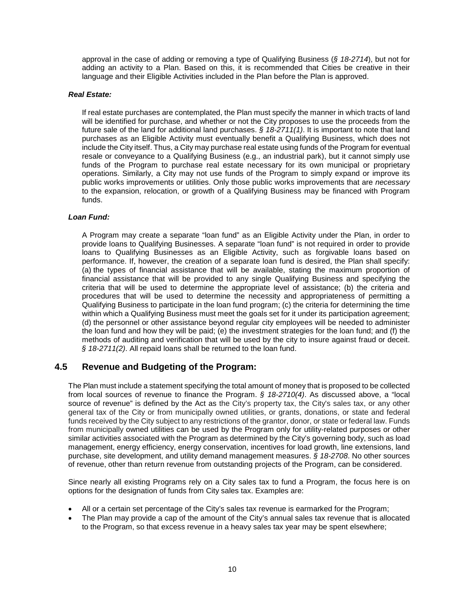approval in the case of adding or removing a type of Qualifying Business (*§ 18-2714*), but not for adding an activity to a Plan. Based on this, it is recommended that Cities be creative in their language and their Eligible Activities included in the Plan before the Plan is approved.

### <span id="page-12-0"></span>*Real Estate:*

If real estate purchases are contemplated, the Plan must specify the manner in which tracts of land will be identified for purchase, and whether or not the City proposes to use the proceeds from the future sale of the land for additional land purchases. *§ 18-2711(1)*. It is important to note that land purchases as an Eligible Activity must eventually benefit a Qualifying Business, which does not include the City itself. Thus, a City may purchase real estate using funds of the Program for eventual resale or conveyance to a Qualifying Business (e.g., an industrial park), but it cannot simply use funds of the Program to purchase real estate necessary for its own municipal or proprietary operations. Similarly, a City may not use funds of the Program to simply expand or improve its public works improvements or utilities. Only those public works improvements that are *necessary* to the expansion, relocation, or growth of a Qualifying Business may be financed with Program funds.

## <span id="page-12-1"></span>*Loan Fund:*

A Program may create a separate "loan fund" as an Eligible Activity under the Plan, in order to provide loans to Qualifying Businesses. A separate "loan fund" is not required in order to provide loans to Qualifying Businesses as an Eligible Activity, such as forgivable loans based on performance. If, however, the creation of a separate loan fund is desired, the Plan shall specify: (a) the types of financial assistance that will be available, stating the maximum proportion of financial assistance that will be provided to any single Qualifying Business and specifying the criteria that will be used to determine the appropriate level of assistance; (b) the criteria and procedures that will be used to determine the necessity and appropriateness of permitting a Qualifying Business to participate in the loan fund program; (c) the criteria for determining the time within which a Qualifying Business must meet the goals set for it under its participation agreement; (d) the personnel or other assistance beyond regular city employees will be needed to administer the loan fund and how they will be paid; (e) the investment strategies for the loan fund; and (f) the methods of auditing and verification that will be used by the city to insure against fraud or deceit. *§ 18-2711(2)*. All repaid loans shall be returned to the loan fund.

## <span id="page-12-2"></span>**4.5 Revenue and Budgeting of the Program:**

The Plan must include a statement specifying the total amount of money that is proposed to be collected from local sources of revenue to finance the Program. *§ 18-2710(4)*. As discussed above, a "local source of revenue" is defined by the Act as the City's property tax, the City's sales tax, or any other general tax of the City or from municipally owned utilities, or grants, donations, or state and federal funds received by the City subject to any restrictions of the grantor, donor, or state or federal law. Funds from municipally owned utilities can be used by the Program only for utility-related purposes or other similar activities associated with the Program as determined by the City's governing body, such as load management, energy efficiency, energy conservation, incentives for load growth, line extensions, land purchase, site development, and utility demand management measures. *§ 18-2708*. No other sources of revenue, other than return revenue from outstanding projects of the Program, can be considered.

Since nearly all existing Programs rely on a City sales tax to fund a Program, the focus here is on options for the designation of funds from City sales tax. Examples are:

- All or a certain set percentage of the City's sales tax revenue is earmarked for the Program;
- The Plan may provide a cap of the amount of the City's annual sales tax revenue that is allocated to the Program, so that excess revenue in a heavy sales tax year may be spent elsewhere;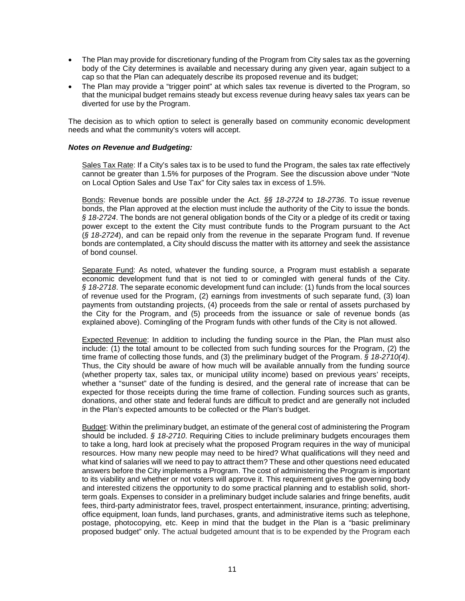- The Plan may provide for discretionary funding of the Program from City sales tax as the governing body of the City determines is available and necessary during any given year, again subject to a cap so that the Plan can adequately describe its proposed revenue and its budget;
- The Plan may provide a "trigger point" at which sales tax revenue is diverted to the Program, so that the municipal budget remains steady but excess revenue during heavy sales tax years can be diverted for use by the Program.

The decision as to which option to select is generally based on community economic development needs and what the community's voters will accept.

#### <span id="page-13-0"></span>*Notes on Revenue and Budgeting:*

Sales Tax Rate: If a City's sales tax is to be used to fund the Program, the sales tax rate effectively cannot be greater than 1.5% for purposes of the Program. See the discussion above under "Note on Local Option Sales and Use Tax" for City sales tax in excess of 1.5%.

Bonds: Revenue bonds are possible under the Act. *§§ 18-2724* to *18-2736*. To issue revenue bonds, the Plan approved at the election must include the authority of the City to issue the bonds. *§ 18-2724*. The bonds are not general obligation bonds of the City or a pledge of its credit or taxing power except to the extent the City must contribute funds to the Program pursuant to the Act (*§ 18-2724*), and can be repaid only from the revenue in the separate Program fund. If revenue bonds are contemplated, a City should discuss the matter with its attorney and seek the assistance of bond counsel.

Separate Fund: As noted, whatever the funding source, a Program must establish a separate economic development fund that is not tied to or comingled with general funds of the City. *§ 18-2718*. The separate economic development fund can include: (1) funds from the local sources of revenue used for the Program, (2) earnings from investments of such separate fund, (3) loan payments from outstanding projects, (4) proceeds from the sale or rental of assets purchased by the City for the Program, and (5) proceeds from the issuance or sale of revenue bonds (as explained above). Comingling of the Program funds with other funds of the City is not allowed.

Expected Revenue: In addition to including the funding source in the Plan, the Plan must also include: (1) the total amount to be collected from such funding sources for the Program, (2) the time frame of collecting those funds, and (3) the preliminary budget of the Program. *§ 18-2710(4)*. Thus, the City should be aware of how much will be available annually from the funding source (whether property tax, sales tax, or municipal utility income) based on previous years' receipts, whether a "sunset" date of the funding is desired, and the general rate of increase that can be expected for those receipts during the time frame of collection. Funding sources such as grants, donations, and other state and federal funds are difficult to predict and are generally not included in the Plan's expected amounts to be collected or the Plan's budget.

Budget: Within the preliminary budget, an estimate of the general cost of administering the Program should be included. *§ 18-2710*. Requiring Cities to include preliminary budgets encourages them to take a long, hard look at precisely what the proposed Program requires in the way of municipal resources. How many new people may need to be hired? What qualifications will they need and what kind of salaries will we need to pay to attract them? These and other questions need educated answers before the City implements a Program. The cost of administering the Program is important to its viability and whether or not voters will approve it. This requirement gives the governing body and interested citizens the opportunity to do some practical planning and to establish solid, shortterm goals. Expenses to consider in a preliminary budget include salaries and fringe benefits, audit fees, third-party administrator fees, travel, prospect entertainment, insurance, printing; advertising, office equipment, loan funds, land purchases, grants, and administrative items such as telephone, postage, photocopying, etc. Keep in mind that the budget in the Plan is a "basic preliminary proposed budget" only. The actual budgeted amount that is to be expended by the Program each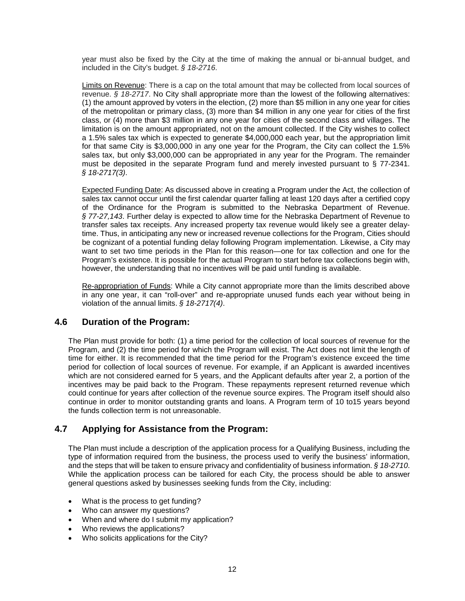year must also be fixed by the City at the time of making the annual or bi-annual budget, and included in the City's budget. *§ 18-2716*.

Limits on Revenue: There is a cap on the total amount that may be collected from local sources of revenue. *§ 18-2717*. No City shall appropriate more than the lowest of the following alternatives: (1) the amount approved by voters in the election, (2) more than \$5 million in any one year for cities of the metropolitan or primary class, (3) more than \$4 million in any one year for cities of the first class, or (4) more than \$3 million in any one year for cities of the second class and villages. The limitation is on the amount appropriated, not on the amount collected. If the City wishes to collect a 1.5% sales tax which is expected to generate \$4,000,000 each year, but the appropriation limit for that same City is \$3,000,000 in any one year for the Program, the City can collect the 1.5% sales tax, but only \$3,000,000 can be appropriated in any year for the Program. The remainder must be deposited in the separate Program fund and merely invested pursuant to § 77-2341. *§ 18-2717(3)*.

Expected Funding Date: As discussed above in creating a Program under the Act, the collection of sales tax cannot occur until the first calendar quarter falling at least 120 days after a certified copy of the Ordinance for the Program is submitted to the Nebraska Department of Revenue. *§ 77-27,143*. Further delay is expected to allow time for the Nebraska Department of Revenue to transfer sales tax receipts. Any increased property tax revenue would likely see a greater delaytime. Thus, in anticipating any new or increased revenue collections for the Program, Cities should be cognizant of a potential funding delay following Program implementation. Likewise, a City may want to set two time periods in the Plan for this reason—one for tax collection and one for the Program's existence. It is possible for the actual Program to start before tax collections begin with, however, the understanding that no incentives will be paid until funding is available.

Re-appropriation of Funds: While a City cannot appropriate more than the limits described above in any one year, it can "roll-over" and re-appropriate unused funds each year without being in violation of the annual limits. *§ 18-2717(4)*.

## <span id="page-14-0"></span>**4.6 Duration of the Program:**

The Plan must provide for both: (1) a time period for the collection of local sources of revenue for the Program, and (2) the time period for which the Program will exist. The Act does not limit the length of time for either. It is recommended that the time period for the Program's existence exceed the time period for collection of local sources of revenue. For example, if an Applicant is awarded incentives which are not considered earned for 5 years, and the Applicant defaults after year 2, a portion of the incentives may be paid back to the Program. These repayments represent returned revenue which could continue for years after collection of the revenue source expires. The Program itself should also continue in order to monitor outstanding grants and loans. A Program term of 10 to15 years beyond the funds collection term is not unreasonable.

## <span id="page-14-1"></span>**4.7 Applying for Assistance from the Program:**

The Plan must include a description of the application process for a Qualifying Business, including the type of information required from the business, the process used to verify the business' information, and the steps that will be taken to ensure privacy and confidentiality of business information. *§ 18-2710*. While the application process can be tailored for each City, the process should be able to answer general questions asked by businesses seeking funds from the City, including:

- What is the process to get funding?
- Who can answer my questions?
- When and where do I submit my application?
- Who reviews the applications?
- Who solicits applications for the City?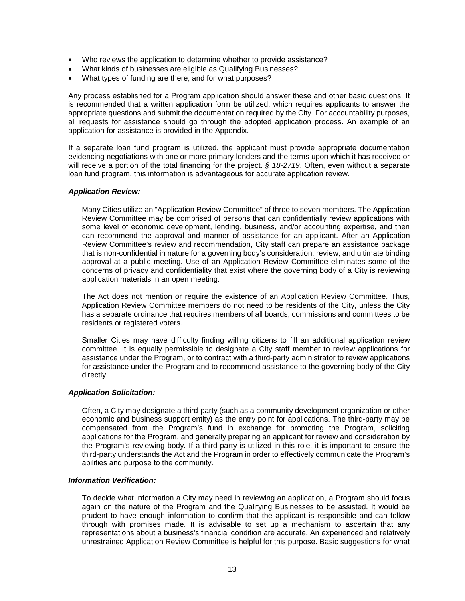- Who reviews the application to determine whether to provide assistance?
- What kinds of businesses are eligible as Qualifying Businesses?
- What types of funding are there, and for what purposes?

Any process established for a Program application should answer these and other basic questions. It is recommended that a written application form be utilized, which requires applicants to answer the appropriate questions and submit the documentation required by the City. For accountability purposes, all requests for assistance should go through the adopted application process. An example of an application for assistance is provided in the Appendix.

If a separate loan fund program is utilized, the applicant must provide appropriate documentation evidencing negotiations with one or more primary lenders and the terms upon which it has received or will receive a portion of the total financing for the project. *§ 18-2719*. Often, even without a separate loan fund program, this information is advantageous for accurate application review.

#### <span id="page-15-0"></span>*Application Review:*

Many Cities utilize an "Application Review Committee" of three to seven members. The Application Review Committee may be comprised of persons that can confidentially review applications with some level of economic development, lending, business, and/or accounting expertise, and then can recommend the approval and manner of assistance for an applicant. After an Application Review Committee's review and recommendation, City staff can prepare an assistance package that is non-confidential in nature for a governing body's consideration, review, and ultimate binding approval at a public meeting. Use of an Application Review Committee eliminates some of the concerns of privacy and confidentiality that exist where the governing body of a City is reviewing application materials in an open meeting.

The Act does not mention or require the existence of an Application Review Committee. Thus, Application Review Committee members do not need to be residents of the City, unless the City has a separate ordinance that requires members of all boards, commissions and committees to be residents or registered voters.

Smaller Cities may have difficulty finding willing citizens to fill an additional application review committee. It is equally permissible to designate a City staff member to review applications for assistance under the Program, or to contract with a third-party administrator to review applications for assistance under the Program and to recommend assistance to the governing body of the City directly.

#### <span id="page-15-1"></span>*Application Solicitation:*

Often, a City may designate a third-party (such as a community development organization or other economic and business support entity) as the entry point for applications. The third-party may be compensated from the Program's fund in exchange for promoting the Program, soliciting applications for the Program, and generally preparing an applicant for review and consideration by the Program's reviewing body. If a third-party is utilized in this role, it is important to ensure the third-party understands the Act and the Program in order to effectively communicate the Program's abilities and purpose to the community.

### <span id="page-15-2"></span>*Information Verification:*

To decide what information a City may need in reviewing an application, a Program should focus again on the nature of the Program and the Qualifying Businesses to be assisted. It would be prudent to have enough information to confirm that the applicant is responsible and can follow through with promises made. It is advisable to set up a mechanism to ascertain that any representations about a business's financial condition are accurate. An experienced and relatively unrestrained Application Review Committee is helpful for this purpose. Basic suggestions for what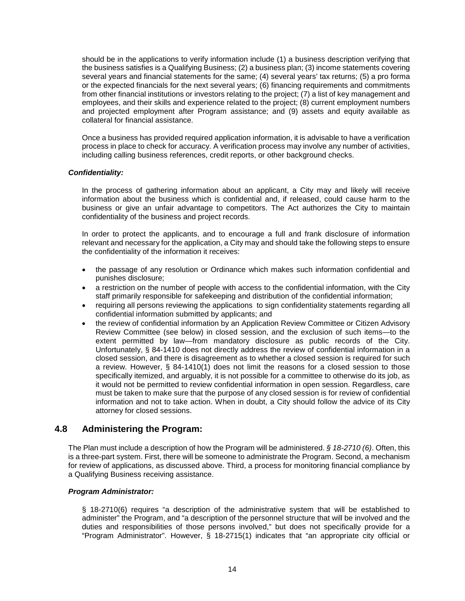should be in the applications to verify information include (1) a business description verifying that the business satisfies is a Qualifying Business; (2) a business plan; (3) income statements covering several years and financial statements for the same; (4) several years' tax returns; (5) a pro forma or the expected financials for the next several years; (6) financing requirements and commitments from other financial institutions or investors relating to the project; (7) a list of key management and employees, and their skills and experience related to the project; (8) current employment numbers and projected employment after Program assistance; and (9) assets and equity available as collateral for financial assistance.

Once a business has provided required application information, it is advisable to have a verification process in place to check for accuracy. A verification process may involve any number of activities, including calling business references, credit reports, or other background checks.

## <span id="page-16-0"></span>*Confidentiality:*

In the process of gathering information about an applicant, a City may and likely will receive information about the business which is confidential and, if released, could cause harm to the business or give an unfair advantage to competitors. The Act authorizes the City to maintain confidentiality of the business and project records.

In order to protect the applicants, and to encourage a full and frank disclosure of information relevant and necessary for the application, a City may and should take the following steps to ensure the confidentiality of the information it receives:

- the passage of any resolution or Ordinance which makes such information confidential and punishes disclosure;
- a restriction on the number of people with access to the confidential information, with the City staff primarily responsible for safekeeping and distribution of the confidential information;
- requiring all persons reviewing the applications to sign confidentiality statements regarding all confidential information submitted by applicants; and
- the review of confidential information by an Application Review Committee or Citizen Advisory Review Committee (see below) in closed session, and the exclusion of such items—to the extent permitted by law—from mandatory disclosure as public records of the City. Unfortunately, § 84-1410 does not directly address the review of confidential information in a closed session, and there is disagreement as to whether a closed session is required for such a review. However, § 84-1410(1) does not limit the reasons for a closed session to those specifically itemized, and arguably, it is not possible for a committee to otherwise do its job, as it would not be permitted to review confidential information in open session. Regardless, care must be taken to make sure that the purpose of any closed session is for review of confidential information and not to take action. When in doubt, a City should follow the advice of its City attorney for closed sessions.

## <span id="page-16-1"></span>**4.8 Administering the Program:**

The Plan must include a description of how the Program will be administered. *§ 18-2710 (6)*. Often, this is a three-part system. First, there will be someone to administrate the Program. Second, a mechanism for review of applications, as discussed above. Third, a process for monitoring financial compliance by a Qualifying Business receiving assistance.

#### <span id="page-16-2"></span>*Program Administrator:*

§ 18-2710(6) requires "a description of the administrative system that will be established to administer" the Program, and "a description of the personnel structure that will be involved and the duties and responsibilities of those persons involved," but does not specifically provide for a "Program Administrator". However, § 18-2715(1) indicates that "an appropriate city official or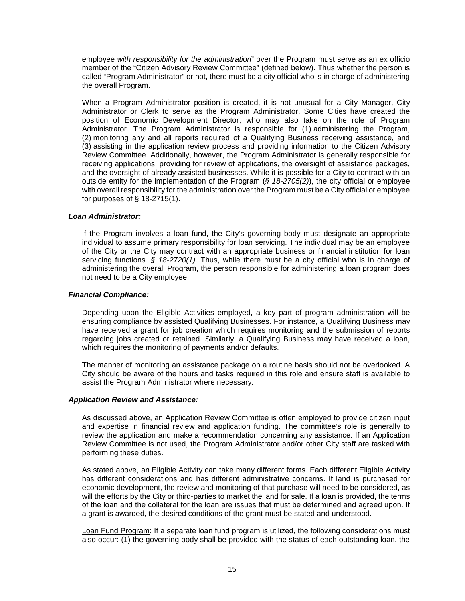employee *with responsibility for the administration*" over the Program must serve as an ex officio member of the "Citizen Advisory Review Committee" (defined below). Thus whether the person is called "Program Administrator" or not, there must be a city official who is in charge of administering the overall Program.

When a Program Administrator position is created, it is not unusual for a City Manager, City Administrator or Clerk to serve as the Program Administrator. Some Cities have created the position of Economic Development Director, who may also take on the role of Program Administrator. The Program Administrator is responsible for (1) administering the Program, (2) monitoring any and all reports required of a Qualifying Business receiving assistance, and (3) assisting in the application review process and providing information to the Citizen Advisory Review Committee. Additionally, however, the Program Administrator is generally responsible for receiving applications, providing for review of applications, the oversight of assistance packages, and the oversight of already assisted businesses. While it is possible for a City to contract with an outside entity for the implementation of the Program (*§ 18-2705(2)*), the city official or employee with overall responsibility for the administration over the Program must be a City official or employee for purposes of § 18-2715(1).

#### *Loan Administrator:*

If the Program involves a loan fund, the City's governing body must designate an appropriate individual to assume primary responsibility for loan servicing. The individual may be an employee of the City or the City may contract with an appropriate business or financial institution for loan servicing functions. *§ 18-2720(1)*. Thus, while there must be a city official who is in charge of administering the overall Program, the person responsible for administering a loan program does not need to be a City employee.

#### <span id="page-17-0"></span>*Financial Compliance:*

Depending upon the Eligible Activities employed, a key part of program administration will be ensuring compliance by assisted Qualifying Businesses. For instance, a Qualifying Business may have received a grant for job creation which requires monitoring and the submission of reports regarding jobs created or retained. Similarly, a Qualifying Business may have received a loan, which requires the monitoring of payments and/or defaults.

The manner of monitoring an assistance package on a routine basis should not be overlooked. A City should be aware of the hours and tasks required in this role and ensure staff is available to assist the Program Administrator where necessary.

## <span id="page-17-1"></span>*Application Review and Assistance:*

As discussed above, an Application Review Committee is often employed to provide citizen input and expertise in financial review and application funding. The committee's role is generally to review the application and make a recommendation concerning any assistance. If an Application Review Committee is not used, the Program Administrator and/or other City staff are tasked with performing these duties.

As stated above, an Eligible Activity can take many different forms. Each different Eligible Activity has different considerations and has different administrative concerns. If land is purchased for economic development, the review and monitoring of that purchase will need to be considered, as will the efforts by the City or third-parties to market the land for sale. If a loan is provided, the terms of the loan and the collateral for the loan are issues that must be determined and agreed upon. If a grant is awarded, the desired conditions of the grant must be stated and understood.

Loan Fund Program: If a separate loan fund program is utilized, the following considerations must also occur: (1) the governing body shall be provided with the status of each outstanding loan, the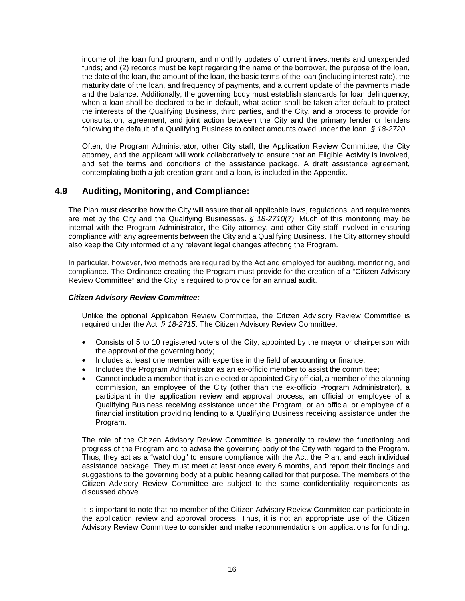income of the loan fund program, and monthly updates of current investments and unexpended funds; and (2) records must be kept regarding the name of the borrower, the purpose of the loan, the date of the loan, the amount of the loan, the basic terms of the loan (including interest rate), the maturity date of the loan, and frequency of payments, and a current update of the payments made and the balance. Additionally, the governing body must establish standards for loan delinquency, when a loan shall be declared to be in default, what action shall be taken after default to protect the interests of the Qualifying Business, third parties, and the City, and a process to provide for consultation, agreement, and joint action between the City and the primary lender or lenders following the default of a Qualifying Business to collect amounts owed under the loan. *§ 18-2720*.

Often, the Program Administrator, other City staff, the Application Review Committee, the City attorney, and the applicant will work collaboratively to ensure that an Eligible Activity is involved, and set the terms and conditions of the assistance package. A draft assistance agreement, contemplating both a job creation grant and a loan, is included in the Appendix.

## <span id="page-18-0"></span>**4.9 Auditing, Monitoring, and Compliance:**

The Plan must describe how the City will assure that all applicable laws, regulations, and requirements are met by the City and the Qualifying Businesses. *§ 18-2710(7)*. Much of this monitoring may be internal with the Program Administrator, the City attorney, and other City staff involved in ensuring compliance with any agreements between the City and a Qualifying Business. The City attorney should also keep the City informed of any relevant legal changes affecting the Program.

In particular, however, two methods are required by the Act and employed for auditing, monitoring, and compliance. The Ordinance creating the Program must provide for the creation of a "Citizen Advisory Review Committee" and the City is required to provide for an annual audit.

### <span id="page-18-1"></span>*Citizen Advisory Review Committee:*

Unlike the optional Application Review Committee, the Citizen Advisory Review Committee is required under the Act. *§ 18-2715*. The Citizen Advisory Review Committee:

- Consists of 5 to 10 registered voters of the City, appointed by the mayor or chairperson with the approval of the governing body;
- Includes at least one member with expertise in the field of accounting or finance;
- Includes the Program Administrator as an ex-officio member to assist the committee;
- Cannot include a member that is an elected or appointed City official, a member of the planning commission, an employee of the City (other than the ex-officio Program Administrator), a participant in the application review and approval process, an official or employee of a Qualifying Business receiving assistance under the Program, or an official or employee of a financial institution providing lending to a Qualifying Business receiving assistance under the Program.

The role of the Citizen Advisory Review Committee is generally to review the functioning and progress of the Program and to advise the governing body of the City with regard to the Program. Thus, they act as a "watchdog" to ensure compliance with the Act, the Plan, and each individual assistance package. They must meet at least once every 6 months, and report their findings and suggestions to the governing body at a public hearing called for that purpose. The members of the Citizen Advisory Review Committee are subject to the same confidentiality requirements as discussed above.

It is important to note that no member of the Citizen Advisory Review Committee can participate in the application review and approval process. Thus, it is not an appropriate use of the Citizen Advisory Review Committee to consider and make recommendations on applications for funding.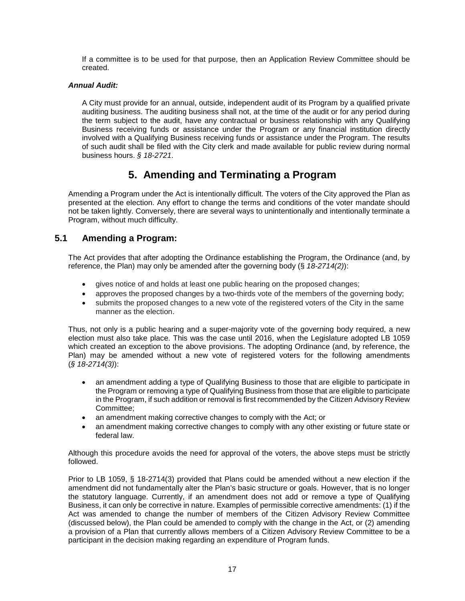If a committee is to be used for that purpose, then an Application Review Committee should be created.

## <span id="page-19-0"></span>*Annual Audit:*

A City must provide for an annual, outside, independent audit of its Program by a qualified private auditing business. The auditing business shall not, at the time of the audit or for any period during the term subject to the audit, have any contractual or business relationship with any Qualifying Business receiving funds or assistance under the Program or any financial institution directly involved with a Qualifying Business receiving funds or assistance under the Program. The results of such audit shall be filed with the City clerk and made available for public review during normal business hours. *§ 18-2721*.

## **5. Amending and Terminating a Program**

<span id="page-19-1"></span>Amending a Program under the Act is intentionally difficult. The voters of the City approved the Plan as presented at the election. Any effort to change the terms and conditions of the voter mandate should not be taken lightly. Conversely, there are several ways to unintentionally and intentionally terminate a Program, without much difficulty.

## <span id="page-19-2"></span>**5.1 Amending a Program:**

The Act provides that after adopting the Ordinance establishing the Program, the Ordinance (and, by reference, the Plan) may only be amended after the governing body (§ *18-2714(2)*):

- gives notice of and holds at least one public hearing on the proposed changes;
- approves the proposed changes by a two-thirds vote of the members of the governing body;
- submits the proposed changes to a new vote of the registered voters of the City in the same manner as the election.

Thus, not only is a public hearing and a super-majority vote of the governing body required, a new election must also take place. This was the case until 2016, when the Legislature adopted LB 1059 which created an exception to the above provisions. The adopting Ordinance (and, by reference, the Plan) may be amended without a new vote of registered voters for the following amendments (*§ 18-2714(3)*):

- an amendment adding a type of Qualifying Business to those that are eligible to participate in the Program or removing a type of Qualifying Business from those that are eligible to participate in the Program, if such addition or removal is first recommended by the Citizen Advisory Review Committee;
- an amendment making corrective changes to comply with the Act; or
- an amendment making corrective changes to comply with any other existing or future state or federal law.

Although this procedure avoids the need for approval of the voters, the above steps must be strictly followed.

Prior to LB 1059, § 18-2714(3) provided that Plans could be amended without a new election if the amendment did not fundamentally alter the Plan's basic structure or goals. However, that is no longer the statutory language. Currently, if an amendment does not add or remove a type of Qualifying Business, it can only be corrective in nature. Examples of permissible corrective amendments: (1) if the Act was amended to change the number of members of the Citizen Advisory Review Committee (discussed below), the Plan could be amended to comply with the change in the Act, or (2) amending a provision of a Plan that currently allows members of a Citizen Advisory Review Committee to be a participant in the decision making regarding an expenditure of Program funds.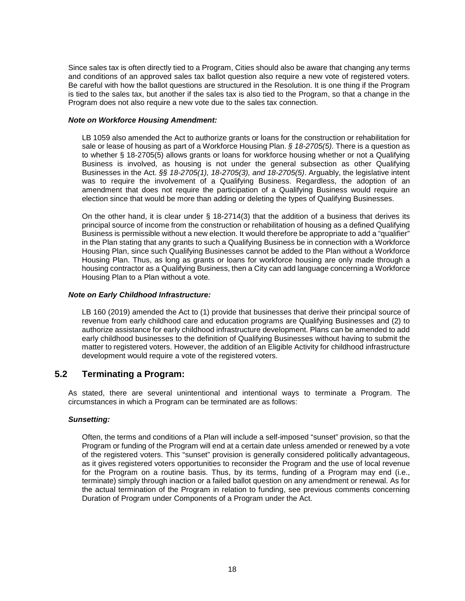Since sales tax is often directly tied to a Program, Cities should also be aware that changing any terms and conditions of an approved sales tax ballot question also require a new vote of registered voters. Be careful with how the ballot questions are structured in the Resolution. It is one thing if the Program is tied to the sales tax, but another if the sales tax is also tied to the Program, so that a change in the Program does not also require a new vote due to the sales tax connection.

#### *Note on Workforce Housing Amendment:*

LB 1059 also amended the Act to authorize grants or loans for the construction or rehabilitation for sale or lease of housing as part of a Workforce Housing Plan. *§ 18-2705(5)*. There is a question as to whether § 18-2705(5) allows grants or loans for workforce housing whether or not a Qualifying Business is involved, as housing is not under the general subsection as other Qualifying Businesses in the Act. *§§ 18-2705(1), 18-2705(3), and 18-2705(5)*. Arguably, the legislative intent was to require the involvement of a Qualifying Business. Regardless, the adoption of an amendment that does not require the participation of a Qualifying Business would require an election since that would be more than adding or deleting the types of Qualifying Businesses.

On the other hand, it is clear under § 18-2714(3) that the addition of a business that derives its principal source of income from the construction or rehabilitation of housing as a defined Qualifying Business is permissible without a new election. It would therefore be appropriate to add a "qualifier" in the Plan stating that any grants to such a Qualifying Business be in connection with a Workforce Housing Plan, since such Qualifying Businesses cannot be added to the Plan without a Workforce Housing Plan. Thus, as long as grants or loans for workforce housing are only made through a housing contractor as a Qualifying Business, then a City can add language concerning a Workforce Housing Plan to a Plan without a vote.

## *Note on Early Childhood Infrastructure:*

LB 160 (2019) amended the Act to (1) provide that businesses that derive their principal source of revenue from early childhood care and education programs are Qualifying Businesses and (2) to authorize assistance for early childhood infrastructure development. Plans can be amended to add early childhood businesses to the definition of Qualifying Businesses without having to submit the matter to registered voters. However, the addition of an Eligible Activity for childhood infrastructure development would require a vote of the registered voters.

## <span id="page-20-0"></span>**5.2 Terminating a Program:**

As stated, there are several unintentional and intentional ways to terminate a Program. The circumstances in which a Program can be terminated are as follows:

## <span id="page-20-1"></span>*Sunsetting:*

Often, the terms and conditions of a Plan will include a self-imposed "sunset" provision, so that the Program or funding of the Program will end at a certain date unless amended or renewed by a vote of the registered voters. This "sunset" provision is generally considered politically advantageous, as it gives registered voters opportunities to reconsider the Program and the use of local revenue for the Program on a routine basis. Thus, by its terms, funding of a Program may end (i.e., terminate) simply through inaction or a failed ballot question on any amendment or renewal. As for the actual termination of the Program in relation to funding, see previous comments concerning Duration of Program under Components of a Program under the Act.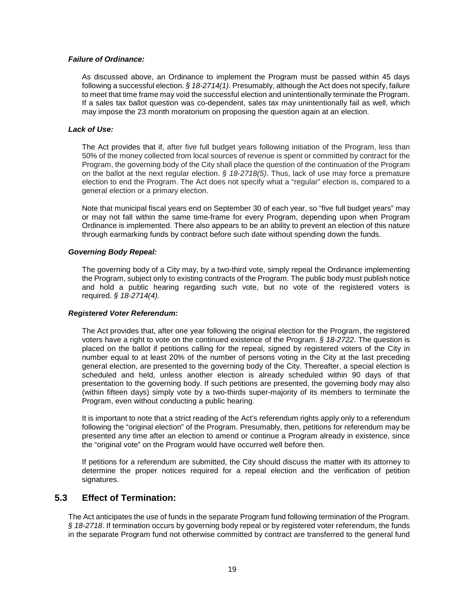### <span id="page-21-0"></span>*Failure of Ordinance:*

As discussed above, an Ordinance to implement the Program must be passed within 45 days following a successful election. *§ 18-2714(1)*. Presumably, although the Act does not specify, failure to meet that time frame may void the successful election and unintentionally terminate the Program. If a sales tax ballot question was co-dependent, sales tax may unintentionally fail as well, which may impose the 23 month moratorium on proposing the question again at an election.

### <span id="page-21-1"></span>*Lack of Use:*

The Act provides that if, after five full budget years following initiation of the Program, less than 50% of the money collected from local sources of revenue is spent or committed by contract for the Program, the governing body of the City shall place the question of the continuation of the Program on the ballot at the next regular election. *§ 18-2718(5)*. Thus, lack of use may force a premature election to end the Program. The Act does not specify what a "regular" election is, compared to a general election or a primary election.

Note that municipal fiscal years end on September 30 of each year, so "five full budget years" may or may not fall within the same time-frame for every Program, depending upon when Program Ordinance is implemented. There also appears to be an ability to prevent an election of this nature through earmarking funds by contract before such date without spending down the funds.

#### <span id="page-21-2"></span>*Governing Body Repeal:*

The governing body of a City may, by a two-third vote, simply repeal the Ordinance implementing the Program, subject only to existing contracts of the Program. The public body must publish notice and hold a public hearing regarding such vote, but no vote of the registered voters is required. *§ 18-2714(4)*.

#### <span id="page-21-3"></span>*Registered Voter Referendum:*

The Act provides that, after one year following the original election for the Program, the registered voters have a right to vote on the continued existence of the Program. *§ 18-2722*. The question is placed on the ballot if petitions calling for the repeal, signed by registered voters of the City in number equal to at least 20% of the number of persons voting in the City at the last preceding general election, are presented to the governing body of the City. Thereafter, a special election is scheduled and held, unless another election is already scheduled within 90 days of that presentation to the governing body. If such petitions are presented, the governing body may also (within fifteen days) simply vote by a two-thirds super-majority of its members to terminate the Program, even without conducting a public hearing.

It is important to note that a strict reading of the Act's referendum rights apply only to a referendum following the "original election" of the Program. Presumably, then, petitions for referendum may be presented any time after an election to amend or continue a Program already in existence, since the "original vote" on the Program would have occurred well before then.

If petitions for a referendum are submitted, the City should discuss the matter with its attorney to determine the proper notices required for a repeal election and the verification of petition signatures.

## <span id="page-21-4"></span>**5.3 Effect of Termination:**

The Act anticipates the use of funds in the separate Program fund following termination of the Program. *§ 18-2718*. If termination occurs by governing body repeal or by registered voter referendum, the funds in the separate Program fund not otherwise committed by contract are transferred to the general fund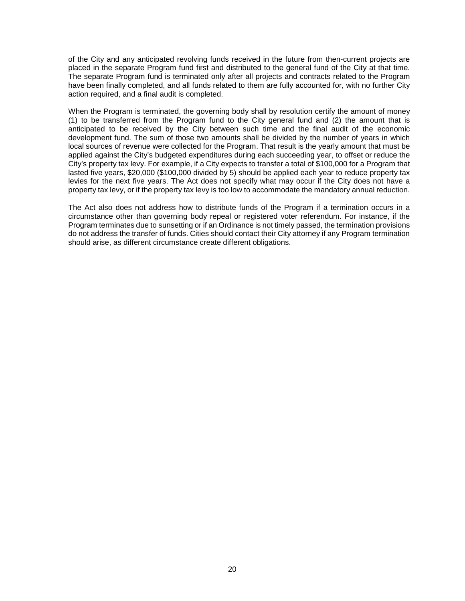of the City and any anticipated revolving funds received in the future from then-current projects are placed in the separate Program fund first and distributed to the general fund of the City at that time. The separate Program fund is terminated only after all projects and contracts related to the Program have been finally completed, and all funds related to them are fully accounted for, with no further City action required, and a final audit is completed.

When the Program is terminated, the governing body shall by resolution certify the amount of money (1) to be transferred from the Program fund to the City general fund and (2) the amount that is anticipated to be received by the City between such time and the final audit of the economic development fund. The sum of those two amounts shall be divided by the number of years in which local sources of revenue were collected for the Program. That result is the yearly amount that must be applied against the City's budgeted expenditures during each succeeding year, to offset or reduce the City's property tax levy. For example, if a City expects to transfer a total of \$100,000 for a Program that lasted five years, \$20,000 (\$100,000 divided by 5) should be applied each year to reduce property tax levies for the next five years. The Act does not specify what may occur if the City does not have a property tax levy, or if the property tax levy is too low to accommodate the mandatory annual reduction.

The Act also does not address how to distribute funds of the Program if a termination occurs in a circumstance other than governing body repeal or registered voter referendum. For instance, if the Program terminates due to sunsetting or if an Ordinance is not timely passed, the termination provisions do not address the transfer of funds. Cities should contact their City attorney if any Program termination should arise, as different circumstance create different obligations.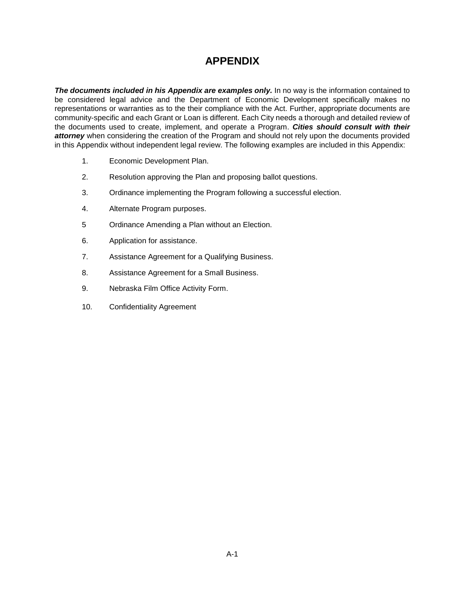## **APPENDIX**

*The documents included in his Appendix are examples only.* In no way is the information contained to be considered legal advice and the Department of Economic Development specifically makes no representations or warranties as to the their compliance with the Act. Further, appropriate documents are community-specific and each Grant or Loan is different. Each City needs a thorough and detailed review of the documents used to create, implement, and operate a Program. *Cities should consult with their attorney* when considering the creation of the Program and should not rely upon the documents provided in this Appendix without independent legal review. The following examples are included in this Appendix:

- 1. Economic Development Plan.
- 2. Resolution approving the Plan and proposing ballot questions.
- 3. Ordinance implementing the Program following a successful election.
- 4. Alternate Program purposes.
- 5 Ordinance Amending a Plan without an Election.
- 6. Application for assistance.
- 7. Assistance Agreement for a Qualifying Business.
- 8. Assistance Agreement for a Small Business.
- 9. Nebraska Film Office Activity Form.
- 10. Confidentiality Agreement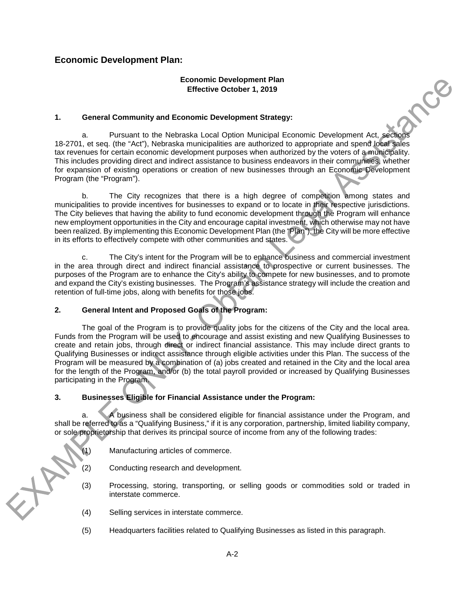## <span id="page-24-0"></span>**Economic Development Plan:**

## **Economic Development Plan Effective October 1, 2019**

**PIRT** 

## **1. General Community and Economic Development Strategy:**

a. Pursuant to the Nebraska Local Option Municipal Economic Development Act, sections 18-2701, et seq. (the "Act"), Nebraska municipalities are authorized to appropriate and spend local sales tax revenues for certain economic development purposes when authorized by the voters of a municipality. This includes providing direct and indirect assistance to business endeavors in their communities, whether for expansion of existing operations or creation of new businesses through an Economic Development Program (the "Program").

b. The City recognizes that there is a high degree of competition among states and municipalities to provide incentives for businesses to expand or to locate in their respective jurisdictions. The City believes that having the ability to fund economic development through the Program will enhance new employment opportunities in the City and encourage capital investment, which otherwise may not have been realized. By implementing this Economic Development Plan (the "Plan"), the City will be more effective in its efforts to effectively compete with other communities and states.

c. The City's intent for the Program will be to enhance business and commercial investment in the area through direct and indirect financial assistance to prospective or current businesses. The purposes of the Program are to enhance the City's ability to compete for new businesses, and to promote and expand the City's existing businesses. The Program's assistance strategy will include the creation and retention of full-time jobs, along with benefits for those jobs.

## **2. General Intent and Proposed Goals of the Program:**

The goal of the Program is to provide quality jobs for the citizens of the City and the local area. Funds from the Program will be used to encourage and assist existing and new Qualifying Businesses to create and retain jobs, through direct or indirect financial assistance. This may include direct grants to Qualifying Businesses or indirect assistance through eligible activities under this Plan. The success of the Program will be measured by a combination of (a) jobs created and retained in the City and the local area for the length of the Program, and/or (b) the total payroll provided or increased by Qualifying Businesses participating in the Program.

## **3. Businesses Eligible for Financial Assistance under the Program:**

a. A business shall be considered eligible for financial assistance under the Program, and shall be referred to as a "Qualifying Business," if it is any corporation, partnership, limited liability company, or sole proprietorship that derives its principal source of income from any of the following trades:

- (1) Manufacturing articles of commerce.
- (2) Conducting research and development.
- (3) Processing, storing, transporting, or selling goods or commodities sold or traded in interstate commerce.
- (4) Selling services in interstate commerce.

 $+8$ 

(5) Headquarters facilities related to Qualifying Businesses as listed in this paragraph.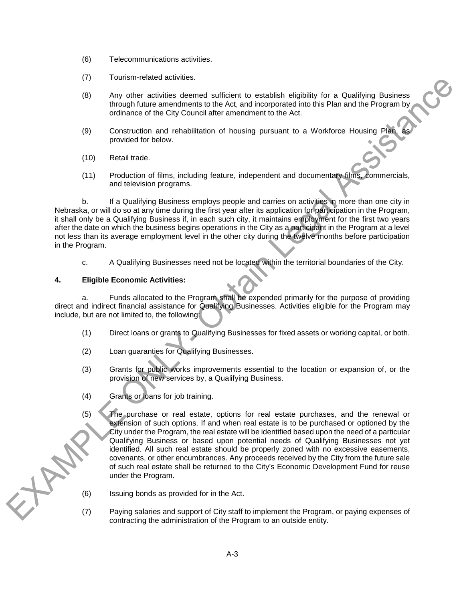- (6) Telecommunications activities.
- (7) Tourism-related activities.
- (8) Any other activities deemed sufficient to establish eligibility for a Qualifying Business through future amendments to the Act, and incorporated into this Plan and the Program by ordinance of the City Council after amendment to the Act.
- (9) Construction and rehabilitation of housing pursuant to a Workforce Housing Plan, provided for below.
- (10) Retail trade.
- (11) Production of films, including feature, independent and documentary films, commercials, and television programs.

b. If a Qualifying Business employs people and carries on activities in more than one city in Nebraska, or will do so at any time during the first year after its application for participation in the Program, it shall only be a Qualifying Business if, in each such city, it maintains employment for the first two years after the date on which the business begins operations in the City as a participant in the Program at a level not less than its average employment level in the other city during the twelve months before participation in the Program.

c. A Qualifying Businesses need not be located within the territorial boundaries of the City.

## **4. Eligible Economic Activities:**

HAY

a. Funds allocated to the Program shall be expended primarily for the purpose of providing direct and indirect financial assistance for Qualifying Businesses. Activities eligible for the Program may include, but are not limited to, the following:

- (1) Direct loans or grants to Qualifying Businesses for fixed assets or working capital, or both.
- (2) Loan guaranties for Qualifying Businesses.
- (3) Grants for public works improvements essential to the location or expansion of, or the provision of new services by, a Qualifying Business.
- (4) Grants or loans for job training.
- (5) The purchase or real estate, options for real estate purchases, and the renewal or extension of such options. If and when real estate is to be purchased or optioned by the City under the Program, the real estate will be identified based upon the need of a particular Qualifying Business or based upon potential needs of Qualifying Businesses not yet identified. All such real estate should be properly zoned with no excessive easements, covenants, or other encumbrances. Any proceeds received by the City from the future sale of such real estate shall be returned to the City's Economic Development Fund for reuse under the Program.

(6) Issuing bonds as provided for in the Act.

(7) Paying salaries and support of City staff to implement the Program, or paying expenses of contracting the administration of the Program to an outside entity.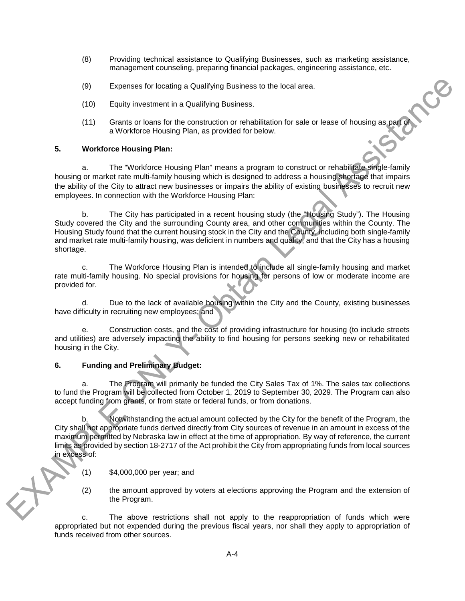- (8) Providing technical assistance to Qualifying Businesses, such as marketing assistance, management counseling, preparing financial packages, engineering assistance, etc.
- (9) Expenses for locating a Qualifying Business to the local area.
- (10) Equity investment in a Qualifying Business.
- (11) Grants or loans for the construction or rehabilitation for sale or lease of housing as part of a Workforce Housing Plan, as provided for below.

CP

## **5. Workforce Housing Plan:**

a. The "Workforce Housing Plan" means a program to construct or rehabilitate single-family housing or market rate multi-family housing which is designed to address a housing shortage that impairs the ability of the City to attract new businesses or impairs the ability of existing businesses to recruit new employees. In connection with the Workforce Housing Plan:

b. The City has participated in a recent housing study (the "Housing Study"). The Housing Study covered the City and the surrounding County area, and other communities within the County. The Housing Study found that the current housing stock in the City and the County, including both single-family and market rate multi-family housing, was deficient in numbers and quality, and that the City has a housing shortage.

c. The Workforce Housing Plan is intended to include all single-family housing and market rate multi-family housing. No special provisions for housing for persons of low or moderate income are provided for.

d. Due to the lack of available housing within the City and the County, existing businesses have difficulty in recruiting new employees; and

e. Construction costs, and the cost of providing infrastructure for housing (to include streets and utilities) are adversely impacting the ability to find housing for persons seeking new or rehabilitated housing in the City.

## **6. Funding and Preliminary Budget:**

a. The Program will primarily be funded the City Sales Tax of 1%. The sales tax collections to fund the Program will be collected from October 1, 2019 to September 30, 2029. The Program can also accept funding from grants, or from state or federal funds, or from donations.

b. Notwithstanding the actual amount collected by the City for the benefit of the Program, the City shall not appropriate funds derived directly from City sources of revenue in an amount in excess of the maximum permitted by Nebraska law in effect at the time of appropriation. By way of reference, the current limits as provided by section 18-2717 of the Act prohibit the City from appropriating funds from local sources in excess of:

(1) \$4,000,000 per year; and

(2) the amount approved by voters at elections approving the Program and the extension of the Program.

c. The above restrictions shall not apply to the reappropriation of funds which were appropriated but not expended during the previous fiscal years, nor shall they apply to appropriation of funds received from other sources.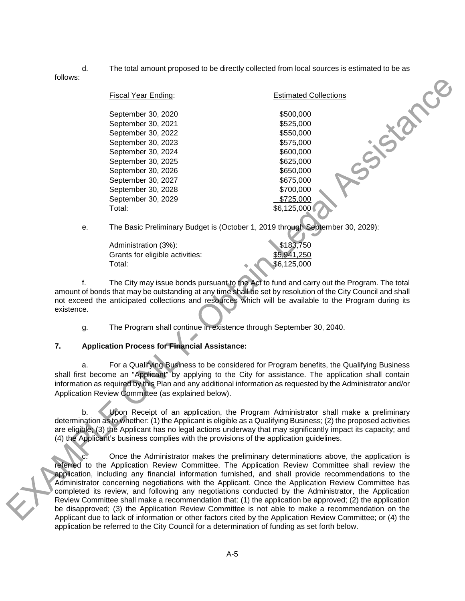d. The total amount proposed to be directly collected from local sources is estimated to be as

follows:

| Fiscal Year Ending: | <b>Estimated Collections</b>                                                  |
|---------------------|-------------------------------------------------------------------------------|
| September 30, 2020  | \$500,000                                                                     |
| September 30, 2021  | \$525,000                                                                     |
| September 30, 2022  | \$550,000                                                                     |
| September 30, 2023  | \$575,000                                                                     |
| September 30, 2024  | \$600,000                                                                     |
| September 30, 2025  | \$625,000                                                                     |
| September 30, 2026  | \$650,000                                                                     |
| September 30, 2027  | \$675,000                                                                     |
| September 30, 2028  | \$700,000                                                                     |
| September 30, 2029  | \$725,000                                                                     |
| Total:              | \$6,125,000                                                                   |
|                     | The Peaig Draliminary Pudget is (Ostaber 1, 2010 through Cantamber 20, 2020). |

e. The Basic Preliminary Budget is (October 1, 2019 through September 30, 2029):

| Administration (3%):            | \$183,750   |
|---------------------------------|-------------|
| Grants for eligible activities: | \$5,941,250 |
| Total:                          | \$6,125,000 |

f. The City may issue bonds pursuant to the Act to fund and carry out the Program. The total amount of bonds that may be outstanding at any time shall be set by resolution of the City Council and shall not exceed the anticipated collections and resources which will be available to the Program during its existence.

g. The Program shall continue in existence through September 30, 2040.

## **7. Application Process for Financial Assistance:**

a. For a Qualifying Business to be considered for Program benefits, the Qualifying Business shall first become an "Applicant" by applying to the City for assistance. The application shall contain information as required by this Plan and any additional information as requested by the Administrator and/or Application Review Committee (as explained below).

b. Upon Receipt of an application, the Program Administrator shall make a preliminary determination as to whether: (1) the Applicant is eligible as a Qualifying Business; (2) the proposed activities are eligible; (3) the Applicant has no legal actions underway that may significantly impact its capacity; and (4) the Applicant's business complies with the provisions of the application guidelines.

Once the Administrator makes the preliminary determinations above, the application is referred to the Application Review Committee. The Application Review Committee shall review the application, including any financial information furnished, and shall provide recommendations to the Administrator concerning negotiations with the Applicant. Once the Application Review Committee has completed its review, and following any negotiations conducted by the Administrator, the Application Review Committee shall make a recommendation that: (1) the application be approved; (2) the application be disapproved; (3) the Application Review Committee is not able to make a recommendation on the Applicant due to lack of information or other factors cited by the Application Review Committee; or (4) the application be referred to the City Council for a determination of funding as set forth below.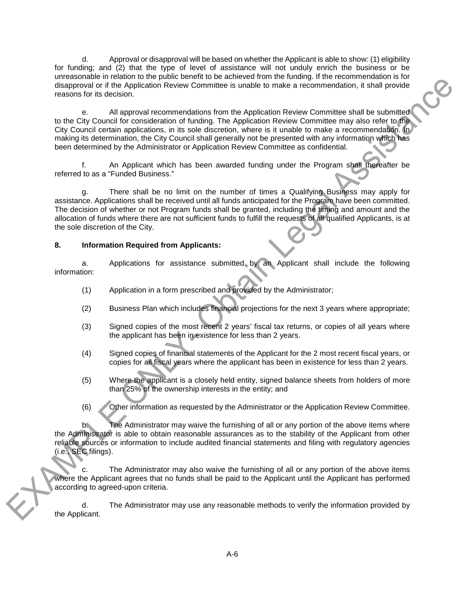d. Approval or disapproval will be based on whether the Applicant is able to show: (1) eligibility for funding; and (2) that the type of level of assistance will not unduly enrich the business or be unreasonable in relation to the public benefit to be achieved from the funding. If the recommendation is for disapproval or if the Application Review Committee is unable to make a recommendation, it shall provide reasons for its decision.

e. All approval recommendations from the Application Review Committee shall be submitted to the City Council for consideration of funding. The Application Review Committee may also refer to the City Council certain applications, in its sole discretion, where is it unable to make a recommendation. In making its determination, the City Council shall generally not be presented with any information which has been determined by the Administrator or Application Review Committee as confidential.

f. An Applicant which has been awarded funding under the Program shall thereafter be referred to as a "Funded Business."

g. There shall be no limit on the number of times a Qualifying Business may apply for assistance. Applications shall be received until all funds anticipated for the Program have been committed. The decision of whether or not Program funds shall be granted, including the timing and amount and the allocation of funds where there are not sufficient funds to fulfill the requests of all qualified Applicants, is at the sole discretion of the City.

## **8. Information Required from Applicants:**

a. Applications for assistance submitted by an Applicant shall include the following information:

- (1) Application in a form prescribed and provided by the Administrator;
- (2) Business Plan which includes financial projections for the next 3 years where appropriate;
- (3) Signed copies of the most recent 2 years' fiscal tax returns, or copies of all years where the applicant has been in existence for less than 2 years.
- (4) Signed copies of financial statements of the Applicant for the 2 most recent fiscal years, or copies for all fiscal years where the applicant has been in existence for less than 2 years.
- (5) Where the applicant is a closely held entity, signed balance sheets from holders of more than 25% of the ownership interests in the entity; and
- (6) Other information as requested by the Administrator or the Application Review Committee.

b. The Administrator may waive the furnishing of all or any portion of the above items where the Administrator is able to obtain reasonable assurances as to the stability of the Applicant from other reliable sources or information to include audited financial statements and filing with regulatory agencies (i.e., SEC filings).

The Administrator may also waive the furnishing of all or any portion of the above items where the Applicant agrees that no funds shall be paid to the Applicant until the Applicant has performed according to agreed-upon criteria.

d. The Administrator may use any reasonable methods to verify the information provided by the Applicant.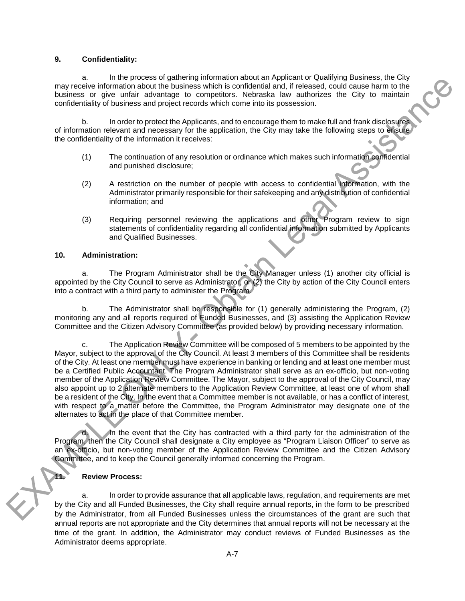### **9. Confidentiality:**

a. In the process of gathering information about an Applicant or Qualifying Business, the City may receive information about the business which is confidential and, if released, could cause harm to the business or give unfair advantage to competitors. Nebraska law authorizes the City to maintain confidentiality of business and project records which come into its possession.

b. In order to protect the Applicants, and to encourage them to make full and frank disclosures of information relevant and necessary for the application, the City may take the following steps to ensure the confidentiality of the information it receives:

- (1) The continuation of any resolution or ordinance which makes such information confidential and punished disclosure;
- (2) A restriction on the number of people with access to confidential information, with the Administrator primarily responsible for their safekeeping and any distribution of confidential information; and
- (3) Requiring personnel reviewing the applications and other Program review to sign statements of confidentiality regarding all confidential information submitted by Applicants and Qualified Businesses.

#### **10. Administration:**

a. The Program Administrator shall be the City Manager unless (1) another city official is appointed by the City Council to serve as Administrator, or (2) the City by action of the City Council enters into a contract with a third party to administer the Program.

b. The Administrator shall be responsible for (1) generally administering the Program, (2) monitoring any and all reports required of Funded Businesses, and (3) assisting the Application Review Committee and the Citizen Advisory Committee (as provided below) by providing necessary information.

c. The Application Review Committee will be composed of 5 members to be appointed by the Mayor, subject to the approval of the City Council. At least 3 members of this Committee shall be residents of the City. At least one member must have experience in banking or lending and at least one member must be a Certified Public Accountant. The Program Administrator shall serve as an ex-officio, but non-voting member of the Application Review Committee. The Mayor, subject to the approval of the City Council, may also appoint up to 2 alternate members to the Application Review Committee, at least one of whom shall be a resident of the City. In the event that a Committee member is not available, or has a conflict of interest, with respect to a matter before the Committee, the Program Administrator may designate one of the alternates to act in the place of that Committee member.

In the event that the City has contracted with a third party for the administration of the Program, then the City Council shall designate a City employee as "Program Liaison Officer" to serve as an ex-officio, but non-voting member of the Application Review Committee and the Citizen Advisory Committee, and to keep the Council generally informed concerning the Program.

#### **11. Review Process:**

a. In order to provide assurance that all applicable laws, regulation, and requirements are met by the City and all Funded Businesses, the City shall require annual reports, in the form to be prescribed by the Administrator, from all Funded Businesses unless the circumstances of the grant are such that annual reports are not appropriate and the City determines that annual reports will not be necessary at the time of the grant. In addition, the Administrator may conduct reviews of Funded Businesses as the Administrator deems appropriate.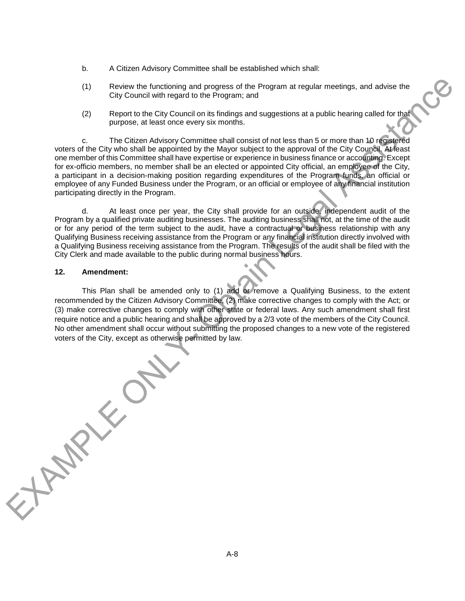- b. A Citizen Advisory Committee shall be established which shall:
- (1) Review the functioning and progress of the Program at regular meetings, and advise the City Council with regard to the Program; and
- (2) Report to the City Council on its findings and suggestions at a public hearing called for that purpose, at least once every six months.

c. The Citizen Advisory Committee shall consist of not less than 5 or more than 10 registered voters of the City who shall be appointed by the Mayor subject to the approval of the City Council. At least one member of this Committee shall have expertise or experience in business finance or accounting. Except for ex-officio members, no member shall be an elected or appointed City official, an employee of the City, a participant in a decision-making position regarding expenditures of the Program funds, an official or employee of any Funded Business under the Program, or an official or employee of any financial institution participating directly in the Program.

d. At least once per year, the City shall provide for an outside, independent audit of the Program by a qualified private auditing businesses. The auditing business shall not, at the time of the audit or for any period of the term subject to the audit, have a contractual or business relationship with any Qualifying Business receiving assistance from the Program or any financial institution directly involved with a Qualifying Business receiving assistance from the Program. The results of the audit shall be filed with the City Clerk and made available to the public during normal business hours.

### **12. Amendment:**

This Plan shall be amended only to (1) add or remove a Qualifying Business, to the extent recommended by the Citizen Advisory Committee, (2) make corrective changes to comply with the Act; or (3) make corrective changes to comply with other state or federal laws. Any such amendment shall first require notice and a public hearing and shall be approved by a 2/3 vote of the members of the City Council. No other amendment shall occur without submitting the proposed changes to a new vote of the registered

voters of the City, except as otherwise permitted by law.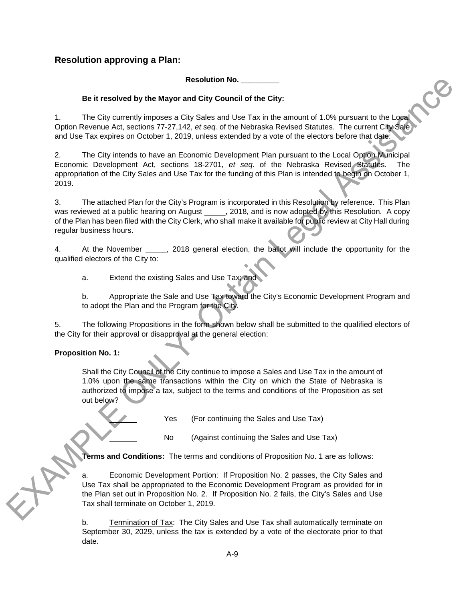## <span id="page-31-0"></span>**Resolution approving a Plan:**

**Resolution No. \_\_\_\_\_\_\_\_\_**

## **Be it resolved by the Mayor and City Council of the City:**

1. The City currently imposes a City Sales and Use Tax in the amount of 1.0% pursuant to the Local Option Revenue Act, sections 77-27,142, *et seq.* of the Nebraska Revised Statutes. The current City Sale and Use Tax expires on October 1, 2019, unless extended by a vote of the electors before that date:

2. The City intends to have an Economic Development Plan pursuant to the Local Option Municipal Economic Development Act, sections 18-2701, *et seq.* of the Nebraska Revised Statutes. The appropriation of the City Sales and Use Tax for the funding of this Plan is intended to begin on October 1, 2019.

3. The attached Plan for the City's Program is incorporated in this Resolution by reference. This Plan was reviewed at a public hearing on August \_\_\_\_\_, 2018, and is now adopted by this Resolution. A copy of the Plan has been filed with the City Clerk, who shall make it available for public review at City Hall during regular business hours.

4. At the November \_\_\_\_\_, 2018 general election, the ballot will include the opportunity for the qualified electors of the City to:

a. Extend the existing Sales and Use Tax; and

b. Appropriate the Sale and Use Tax toward the City's Economic Development Program and to adopt the Plan and the Program for the City.

5. The following Propositions in the form shown below shall be submitted to the qualified electors of the City for their approval or disapproval at the general election:

## **Proposition No. 1:**

Shall the City Council of the City continue to impose a Sales and Use Tax in the amount of 1.0% upon the same transactions within the City on which the State of Nebraska is authorized to impose a tax, subject to the terms and conditions of the Proposition as set out below?

Yes (For continuing the Sales and Use Tax)

No (Against continuing the Sales and Use Tax)

**Terms and Conditions:** The terms and conditions of Proposition No. 1 are as follows:

a. Economic Development Portion: If Proposition No. 2 passes, the City Sales and Use Tax shall be appropriated to the Economic Development Program as provided for in the Plan set out in Proposition No. 2. If Proposition No. 2 fails, the City's Sales and Use Tax shall terminate on October 1, 2019.

b. Termination of Tax: The City Sales and Use Tax shall automatically terminate on September 30, 2029, unless the tax is extended by a vote of the electorate prior to that date.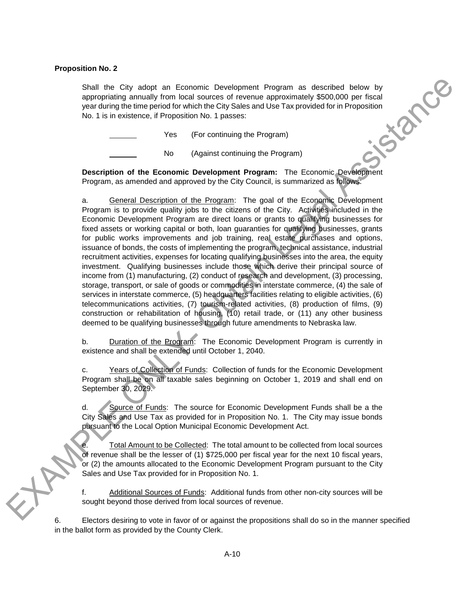### **Proposition No. 2**

Shall the City adopt an Economic Development Program as described below by<br>appropriating annually from local sources of revenue approximately \$500,000 per fiscal<br>year during the time period for which the City Sales and Use appropriating annually from local sources of revenue approximately \$500,000 per fiscal year during the time period for which the City Sales and Use Tax provided for in Proposition No. 1 is in existence, if Proposition No. 1 passes:

Yes (For continuing the Program)

No (Against continuing the Program)

**Description of the Economic Development Program:** The Economic Development Program, as amended and approved by the City Council, is summarized as follows:

a. General Description of the Program: The goal of the Economic Development Program is to provide quality jobs to the citizens of the City. Activities included in the Economic Development Program are direct loans or grants to qualifying businesses for fixed assets or working capital or both, loan guaranties for qualifying businesses, grants for public works improvements and job training, real estate purchases and options, issuance of bonds, the costs of implementing the program, technical assistance, industrial recruitment activities, expenses for locating qualifying businesses into the area, the equity investment. Qualifying businesses include those which derive their principal source of income from (1) manufacturing, (2) conduct of research and development, (3) processing, storage, transport, or sale of goods or commodities in interstate commerce, (4) the sale of services in interstate commerce, (5) headquarters facilities relating to eligible activities, (6) telecommunications activities, (7) tourism-related activities, (8) production of films, (9) construction or rehabilitation of housing, (10) retail trade, or (11) any other business deemed to be qualifying businesses through future amendments to Nebraska law.

b. Duration of the Program: The Economic Development Program is currently in existence and shall be extended until October 1, 2040.

c. Years of Collection of Funds: Collection of funds for the Economic Development Program shall be on all taxable sales beginning on October 1, 2019 and shall end on September 30, 2029.

d. Source of Funds: The source for Economic Development Funds shall be a the City Sales and Use Tax as provided for in Proposition No. 1. The City may issue bonds pursuant to the Local Option Municipal Economic Development Act.

Total Amount to be Collected: The total amount to be collected from local sources of revenue shall be the lesser of (1) \$725,000 per fiscal year for the next 10 fiscal years, or (2) the amounts allocated to the Economic Development Program pursuant to the City Sales and Use Tax provided for in Proposition No. 1.

f. Additional Sources of Funds: Additional funds from other non-city sources will be sought beyond those derived from local sources of revenue.

6. Electors desiring to vote in favor of or against the propositions shall do so in the manner specified in the ballot form as provided by the County Clerk.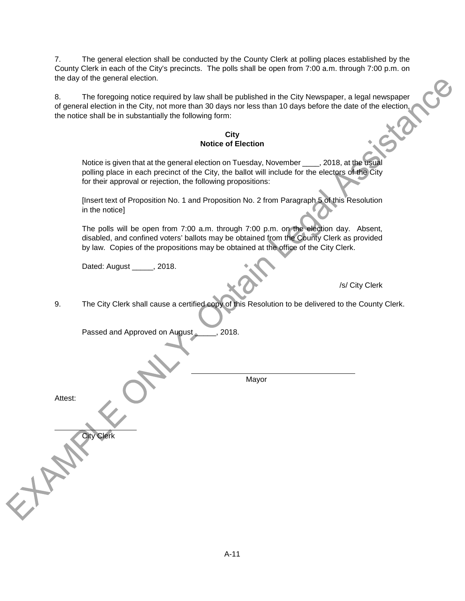7. The general election shall be conducted by the County Clerk at polling places established by the County Clerk in each of the City's precincts. The polls shall be open from 7:00 a.m. through 7:00 p.m. on the day of the general election.

8. The foregoing notice required by law shall be published in the City Newspaper, a legal newspaper of general election in the City, not more than 30 days nor less than 10 days before the date of the election, the notice shall be in substantially the following form:

### **City Notice of Election**

Notice is given that at the general election on Tuesday, November \_\_\_\_, 2018, at the usual polling place in each precinct of the City, the ballot will include for the electors of the City for their approval or rejection, the following propositions:

[Insert text of Proposition No. 1 and Proposition No. 2 from Paragraph 5 of this Resolution in the notice]

The polls will be open from 7:00 a.m. through 7:00 p.m. on the election day. Absent, disabled, and confined voters' ballots may be obtained from the County Clerk as provided by law. Copies of the propositions may be obtained at the office of the City Clerk.

Dated: August \_\_\_\_\_, 2018.

/s/ City Clerk

9. The City Clerk shall cause a certified copy of this Resolution to be delivered to the County Clerk.

Passed and Approved on August 2018.  $\overline{a}$  Mayor Attest: City Clerk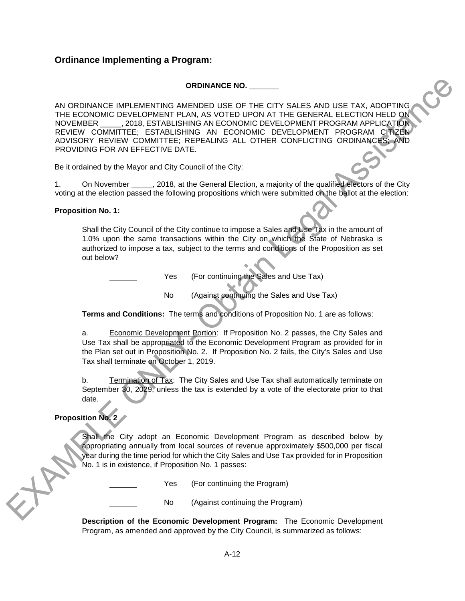## <span id="page-34-0"></span>**Ordinance Implementing a Program:**

## **ORDINANCE NO. \_\_\_\_\_\_\_**

AN ORDINANCE IMPLEMENTING AMENDED USE OF THE CITY SALES AND USE TAX, ADOPTING THE ECONOMIC DEVELOPMENT PLAN, AS VOTED UPON AT THE GENERAL ELECTION HELD ON NOVEMBER \_\_\_\_\_, 2018, ESTABLISHING AN ECONOMIC DEVELOPMENT PROGRAM APPLICATION REVIEW COMMITTEE; ESTABLISHING AN ECONOMIC DEVELOPMENT PROGRAM CITIZEN ADVISORY REVIEW COMMITTEE; REPEALING ALL OTHER CONFLICTING ORDINANCES; AND PROVIDING FOR AN EFFECTIVE DATE.

Be it ordained by the Mayor and City Council of the City:

1. On November \_\_\_\_\_, 2018, at the General Election, a majority of the qualified electors of the City voting at the election passed the following propositions which were submitted on the ballot at the election:

## **Proposition No. 1:**

Shall the City Council of the City continue to impose a Sales and Use Tax in the amount of 1.0% upon the same transactions within the City on which the State of Nebraska is authorized to impose a tax, subject to the terms and conditions of the Proposition as set out below?

Yes (For continuing the Sales and Use Tax)

No (Against continuing the Sales and Use Tax)

**Terms and Conditions:** The terms and conditions of Proposition No. 1 are as follows:

a. Economic Development Portion: If Proposition No. 2 passes, the City Sales and Use Tax shall be appropriated to the Economic Development Program as provided for in the Plan set out in Proposition No. 2. If Proposition No. 2 fails, the City's Sales and Use Tax shall terminate on October 1, 2019.

b. Termination of Tax: The City Sales and Use Tax shall automatically terminate on September 30, 2029, unless the tax is extended by a vote of the electorate prior to that date.

## **Proposition No. 2**

Shall the City adopt an Economic Development Program as described below by appropriating annually from local sources of revenue approximately \$500,000 per fiscal year during the time period for which the City Sales and Use Tax provided for in Proposition No. 1 is in existence, if Proposition No. 1 passes:

Yes (For continuing the Program)

No (Against continuing the Program)

**Description of the Economic Development Program:** The Economic Development Program, as amended and approved by the City Council, is summarized as follows: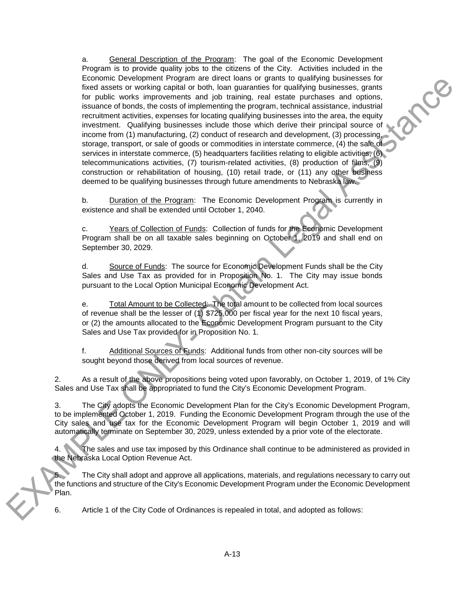a. General Description of the Program: The goal of the Economic Development Program is to provide quality jobs to the citizens of the City. Activities included in the Economic Development Program are direct loans or grants to qualifying businesses for fixed assets or working capital or both, loan guaranties for qualifying businesses, grants for public works improvements and job training, real estate purchases and options, issuance of bonds, the costs of implementing the program, technical assistance, industrial recruitment activities, expenses for locating qualifying businesses into the area, the equity investment. Qualifying businesses include those which derive their principal source of income from (1) manufacturing, (2) conduct of research and development, (3) processing, storage, transport, or sale of goods or commodities in interstate commerce, (4) the sale of services in interstate commerce, (5) headquarters facilities relating to eligible activities, (6) telecommunications activities, (7) tourism-related activities, (8) production of films, (9) construction or rehabilitation of housing, (10) retail trade, or (11) any other business deemed to be qualifying businesses through future amendments to Nebraska law.

**ACCO** 

b. Duration of the Program: The Economic Development Program is currently in existence and shall be extended until October 1, 2040.

c. Years of Collection of Funds: Collection of funds for the Economic Development Program shall be on all taxable sales beginning on October 1, 2019 and shall end on September 30, 2029.

d. Source of Funds: The source for Economic Development Funds shall be the City Sales and Use Tax as provided for in Proposition No. 1. The City may issue bonds pursuant to the Local Option Municipal Economic Development Act.

e. Total Amount to be Collected: The total amount to be collected from local sources of revenue shall be the lesser of (1) \$725,000 per fiscal year for the next 10 fiscal years, or (2) the amounts allocated to the Economic Development Program pursuant to the City Sales and Use Tax provided for in Proposition No. 1.

f. Additional Sources of Funds: Additional funds from other non-city sources will be sought beyond those derived from local sources of revenue.

2. As a result of the above propositions being voted upon favorably, on October 1, 2019, of 1% City Sales and Use Tax shall be appropriated to fund the City's Economic Development Program.

3. The City adopts the Economic Development Plan for the City's Economic Development Program, to be implemented October 1, 2019. Funding the Economic Development Program through the use of the City sales and use tax for the Economic Development Program will begin October 1, 2019 and will automatically terminate on September 30, 2029, unless extended by a prior vote of the electorate.

4. The sales and use tax imposed by this Ordinance shall continue to be administered as provided in the Nebraska Local Option Revenue Act.

5. The City shall adopt and approve all applications, materials, and regulations necessary to carry out the functions and structure of the City's Economic Development Program under the Economic Development Plan.

6. Article 1 of the City Code of Ordinances is repealed in total, and adopted as follows: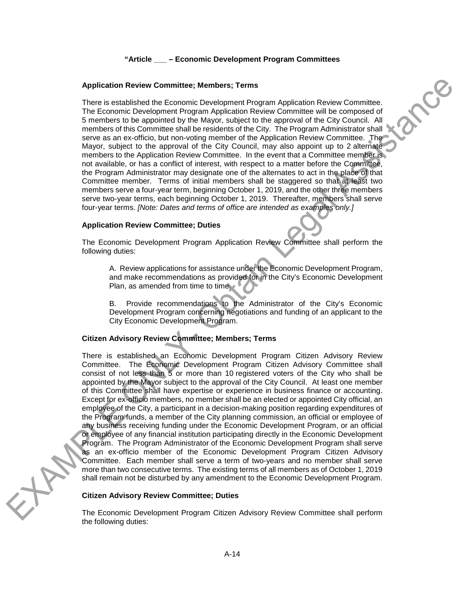## **"Article \_\_\_ – Economic Development Program Committees**

**ACCO** 

#### **Application Review Committee; Members; Terms**

There is established the Economic Development Program Application Review Committee. The Economic Development Program Application Review Committee will be composed of 5 members to be appointed by the Mayor, subject to the approval of the City Council. All members of this Committee shall be residents of the City. The Program Administrator shall serve as an ex-officio, but non-voting member of the Application Review Committee. The Mayor, subject to the approval of the City Council, may also appoint up to 2 alternate members to the Application Review Committee. In the event that a Committee member is not available, or has a conflict of interest, with respect to a matter before the Committee, the Program Administrator may designate one of the alternates to act in the place of that Committee member. Terms of initial members shall be staggered so that at least two members serve a four-year term, beginning October 1, 2019, and the other three members serve two-year terms, each beginning October 1, 2019. Thereafter, members shall serve four-year terms. *[Note: Dates and terms of office are intended as examples only.]*

## **Application Review Committee; Duties**

The Economic Development Program Application Review Committee shall perform the following duties:

A. Review applications for assistance under the Economic Development Program, and make recommendations as provided for in the City's Economic Development Plan, as amended from time to time.

B. Provide recommendations to the Administrator of the City's Economic Development Program concerning negotiations and funding of an applicant to the City Economic Development Program.

## **Citizen Advisory Review Committee; Members; Terms**

There is established an Economic Development Program Citizen Advisory Review Committee. The Economic Development Program Citizen Advisory Committee shall consist of not less than 5 or more than 10 registered voters of the City who shall be appointed by the Mayor subject to the approval of the City Council. At least one member of this Committee shall have expertise or experience in business finance or accounting. Except for ex-officio members, no member shall be an elected or appointed City official, an employee of the City, a participant in a decision-making position regarding expenditures of the Program funds, a member of the City planning commission, an official or employee of any business receiving funding under the Economic Development Program, or an official or employee of any financial institution participating directly in the Economic Development Program. The Program Administrator of the Economic Development Program shall serve as an ex-officio member of the Economic Development Program Citizen Advisory Committee. Each member shall serve a term of two-years and no member shall serve more than two consecutive terms. The existing terms of all members as of October 1, 2019 shall remain not be disturbed by any amendment to the Economic Development Program.

## **Citizen Advisory Review Committee; Duties**

The Economic Development Program Citizen Advisory Review Committee shall perform the following duties: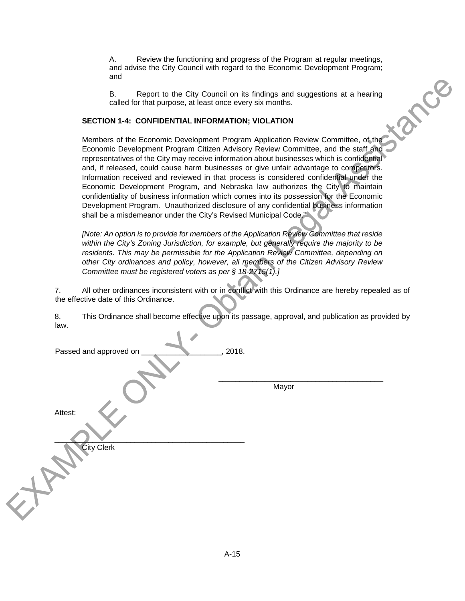A. Review the functioning and progress of the Program at regular meetings, and advise the City Council with regard to the Economic Development Program; and

B. Report to the City Council on its findings and suggestions at a hearing called for that purpose, at least once every six months.

## **SECTION 1-4: CONFIDENTIAL INFORMATION; VIOLATION**

tama Members of the Economic Development Program Application Review Committee, of the Economic Development Program Citizen Advisory Review Committee, and the staff and representatives of the City may receive information about businesses which is confidential and, if released, could cause harm businesses or give unfair advantage to competitors. Information received and reviewed in that process is considered confidential under the Economic Development Program, and Nebraska law authorizes the City to maintain confidentiality of business information which comes into its possession for the Economic Development Program. Unauthorized disclosure of any confidential business information shall be a misdemeanor under the City's Revised Municipal Code."

*[Note: An option is to provide for members of the Application Review Committee that reside within the City's Zoning Jurisdiction, for example, but generally require the majority to be*  residents. This may be permissible for the Application Review Committee, depending on *other City ordinances and policy, however, all members of the Citizen Advisory Review Committee must be registered voters as per § 18-2715(1).]*

7. All other ordinances inconsistent with or in conflict with this Ordinance are hereby repealed as of the effective date of this Ordinance.

8. This Ordinance shall become effective upon its passage, approval, and publication as provided by law.

| Passed and approved on | , 2018. |
|------------------------|---------|
|                        | Mayor   |
| Attest:                |         |
| <b>City Clerk</b>      |         |
|                        |         |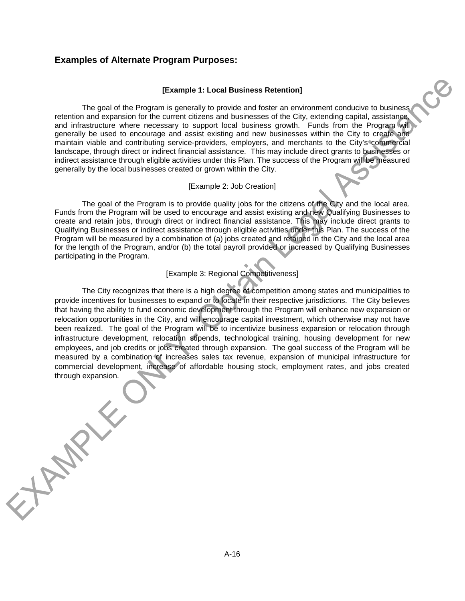## <span id="page-38-0"></span>**Examples of Alternate Program Purposes:**

#### **[Example 1: Local Business Retention]**

The goal of the Program is generally to provide and foster an environment conducive to business retention and expansion for the current citizens and businesses of the City, extending capital, assistance, and infrastructure where necessary to support local business growth. Funds from the Program will generally be used to encourage and assist existing and new businesses within the City to create and maintain viable and contributing service-providers, employers, and merchants to the City's commercial landscape, through direct or indirect financial assistance. This may include direct grants to businesses or indirect assistance through eligible activities under this Plan. The success of the Program will be measured generally by the local businesses created or grown within the City.

#### [Example 2: Job Creation]

The goal of the Program is to provide quality jobs for the citizens of the City and the local area. Funds from the Program will be used to encourage and assist existing and new Qualifying Businesses to create and retain jobs, through direct or indirect financial assistance. This may include direct grants to Qualifying Businesses or indirect assistance through eligible activities under this Plan. The success of the Program will be measured by a combination of (a) jobs created and retained in the City and the local area for the length of the Program, and/or (b) the total payroll provided or increased by Qualifying Businesses participating in the Program.

## [Example 3: Regional Competitiveness]

The City recognizes that there is a high degree of competition among states and municipalities to provide incentives for businesses to expand or to locate in their respective jurisdictions. The City believes that having the ability to fund economic development through the Program will enhance new expansion or relocation opportunities in the City, and will encourage capital investment, which otherwise may not have been realized. The goal of the Program will be to incentivize business expansion or relocation through infrastructure development, relocation stipends, technological training, housing development for new employees, and job credits or jobs created through expansion. The goal success of the Program will be measured by a combination of increases sales tax revenue, expansion of municipal infrastructure for commercial development, increase of affordable housing stock, employment rates, and jobs created through expansion.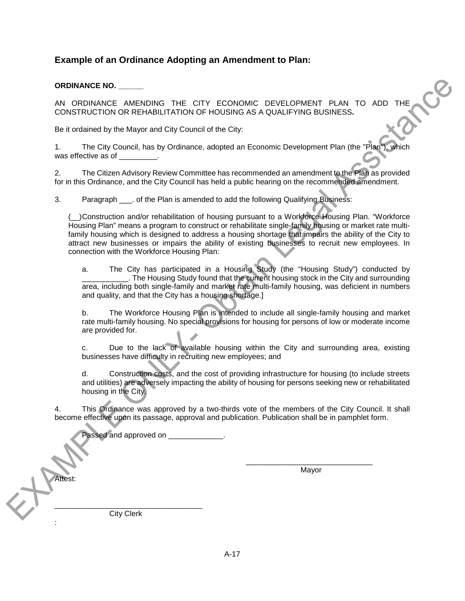## <span id="page-39-0"></span>**Example of an Ordinance Adopting an Amendment to Plan:**

## **ORDINANCE NO. \_\_\_\_\_\_**

AN ORDINANCE AMENDING THE CITY ECONOMIC DEVELOPMENT PLAN TO ADD THE CONSTRUCTION OR REHABILITATION OF HOUSING AS A QUALIFYING BUSINESS**.**

Be it ordained by the Mayor and City Council of the City:

1. The City Council, has by Ordinance, adopted an Economic Development Plan (the "Plan"), which was effective as of  $\qquad \qquad$ .

2. The Citizen Advisory Review Committee has recommended an amendment to the Plan as provided for in this Ordinance, and the City Council has held a public hearing on the recommended amendment.

3. Paragraph . of the Plan is amended to add the following Qualifying Business:

(\_\_)Construction and/or rehabilitation of housing pursuant to a Workforce Housing Plan. "Workforce Housing Plan" means a program to construct or rehabilitate single-family housing or market rate multifamily housing which is designed to address a housing shortage that impairs the ability of the City to attract new businesses or impairs the ability of existing businesses to recruit new employees. In connection with the Workforce Housing Plan:

a. The City has participated in a Housing Study (the "Housing Study") conducted by \_\_\_\_\_\_\_\_\_\_\_. The Housing Study found that the current housing stock in the City and surrounding area, including both single-family and market rate multi-family housing, was deficient in numbers and quality, and that the City has a housing shortage.]

b. The Workforce Housing Plan is intended to include all single-family housing and market rate multi-family housing. No special provisions for housing for persons of low or moderate income are provided for.

c. Due to the lack of available housing within the City and surrounding area, existing businesses have difficulty in recruiting new employees; and

d. Construction costs, and the cost of providing infrastructure for housing (to include streets and utilities) are adversely impacting the ability of housing for persons seeking new or rehabilitated housing in the City.

4. This Ordinance was approved by a two-thirds vote of the members of the City Council. It shall become effective upon its passage, approval and publication. Publication shall be in pamphlet form.

Passed and approved on **Example 2** 

\_\_\_\_\_\_\_\_\_\_\_\_\_\_\_\_\_\_\_\_\_\_\_\_\_\_\_\_\_\_ Mayor

\_\_\_\_\_\_\_\_\_\_\_\_\_\_\_\_\_\_\_\_\_\_\_\_\_\_\_\_\_\_\_\_\_\_\_ City Clerk

Attest:

: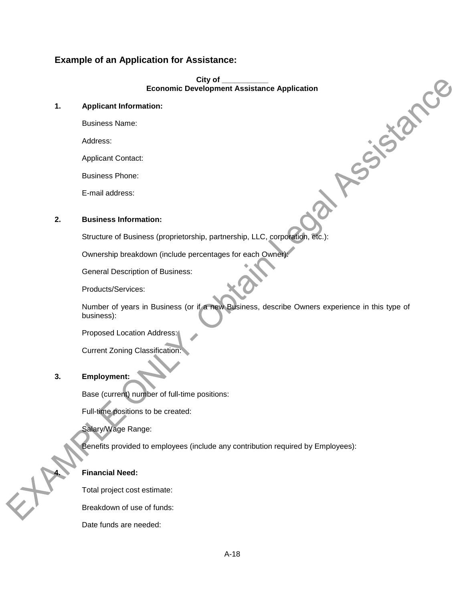## <span id="page-40-0"></span>**Example of an Application for Assistance:**

**City of \_\_\_\_\_\_\_\_\_\_\_ Economic Development Assistance Application**

ASSISIANCE

## **1. Applicant Information:**

Business Name:

Address:

Applicant Contact:

Business Phone:

E-mail address:

## **2. Business Information:**

Structure of Business (proprietorship, partnership, LLC, corporation, etc.):

Ownership breakdown (include percentages for each Owner):

General Description of Business:

Products/Services:

Number of years in Business (or if a new Business, describe Owners experience in this type of business):

Proposed Location Address:

Current Zoning Classification:

## **3. Employment:**

Base (current) number of full-time positions:

Full-time positions to be created:

Salary/Wage Range:

Benefits provided to employees (include any contribution required by Employees):

## **4. Financial Need:**

Total project cost estimate:

Breakdown of use of funds:

Date funds are needed: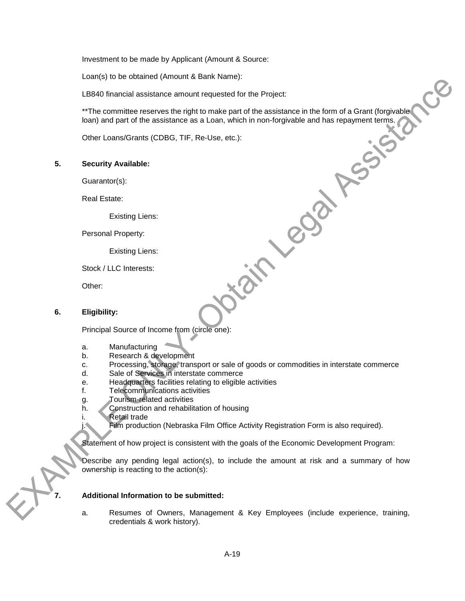Investment to be made by Applicant (Amount & Source:

Loan(s) to be obtained (Amount & Bank Name):

LB840 financial assistance amount requested for the Project:

\*\*The committee reserves the right to make part of the assistance in the form of a Grant (forgivable loan) and part of the assistance as a Loan, which in non-forgivable and has repayment terms.<br>
Other Loans/Grants (CDBG, T loan) and part of the assistance as a Loan, which in non-forgivable and has repayment terms.

Other Loans/Grants (CDBG, TIF, Re-Use, etc.):

### **5. Security Available:**

Guarantor(s):

Real Estate:

Existing Liens:

Personal Property:

Existing Liens:

Stock / LLC Interests:

Other:

#### **6. Eligibility:**

Principal Source of Income from (circle one):

- a. Manufacturing
- b. Research & development
- c. Processing, storage, transport or sale of goods or commodities in interstate commerce

**Printing** 

- d. Sale of Services in interstate commerce
- e. Headquarters facilities relating to eligible activities
- f. Telecommunications activities
- g. Tourism-related activities
- h. Construction and rehabilitation of housing
- i. Retail trade

Film production (Nebraska Film Office Activity Registration Form is also required).

Statement of how project is consistent with the goals of the Economic Development Program:

Describe any pending legal action(s), to include the amount at risk and a summary of how ownership is reacting to the action(s):

#### **7. Additional Information to be submitted:**

a. Resumes of Owners, Management & Key Employees (include experience, training, credentials & work history).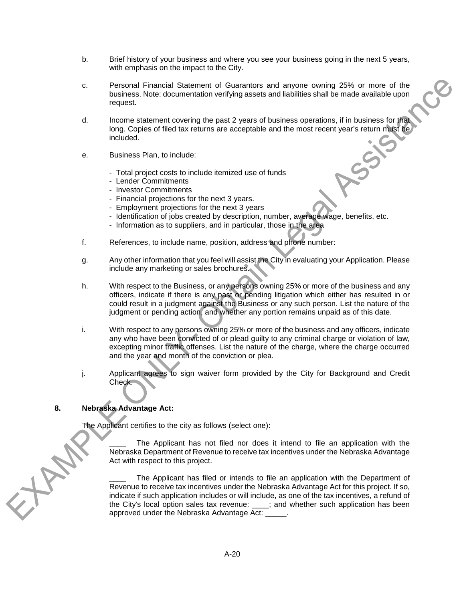- b. Brief history of your business and where you see your business going in the next 5 years, with emphasis on the impact to the City.
- c. Personal Financial Statement of Guarantors and anyone owning 25% or more of the business. Note: documentation verifying assets and liabilities shall be made available upon request.
- d. Income statement covering the past 2 years of business operations, if in business for that long. Copies of filed tax returns are acceptable and the most recent year's return must be included.
- e. Business Plan, to include:
	- Total project costs to include itemized use of funds
	- Lender Commitments
	- Investor Commitments
	- Financial projections for the next 3 years.
	- Employment projections for the next 3 years
	- Identification of jobs created by description, number, average wage, benefits, etc.
	- Information as to suppliers, and in particular, those in the area
- f. References, to include name, position, address and phone number:
- g. Any other information that you feel will assist the City in evaluating your Application. Please include any marketing or sales brochures.
- h. With respect to the Business, or any persons owning 25% or more of the business and any officers, indicate if there is any past or pending litigation which either has resulted in or could result in a judgment against the Business or any such person. List the nature of the judgment or pending action, and whether any portion remains unpaid as of this date.
- i. With respect to any persons owning 25% or more of the business and any officers, indicate any who have been convicted of or plead guilty to any criminal charge or violation of law, excepting minor traffic offenses. List the nature of the charge, where the charge occurred and the year and month of the conviction or plea.
- j. Applicant agrees to sign waiver form provided by the City for Background and Credit Check.

## **8. Nebraska Advantage Act:**

HA

The Applicant certifies to the city as follows (select one):

The Applicant has not filed nor does it intend to file an application with the Nebraska Department of Revenue to receive tax incentives under the Nebraska Advantage Act with respect to this project.

The Applicant has filed or intends to file an application with the Department of Revenue to receive tax incentives under the Nebraska Advantage Act for this project. If so, indicate if such application includes or will include, as one of the tax incentives, a refund of the City's local option sales tax revenue: \_\_\_\_; and whether such application has been approved under the Nebraska Advantage Act: \_\_\_\_\_.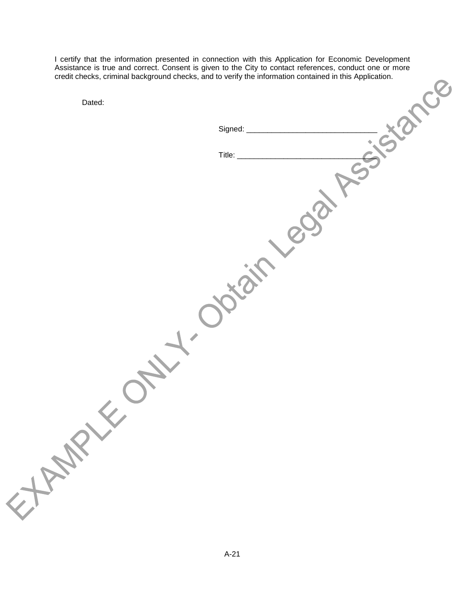I certify that the information presented in connection with this Application for Economic Development Assistance is true and correct. Consent is given to the City to contact references, conduct one or more credit checks, criminal background checks, and to verify the information contained in this Application.

| Dated:  |             |
|---------|-------------|
|         | Signed: _   |
|         | Title: $\_$ |
|         |             |
|         |             |
|         |             |
|         |             |
|         |             |
|         |             |
|         |             |
|         |             |
|         |             |
|         |             |
|         |             |
| ELEMANY |             |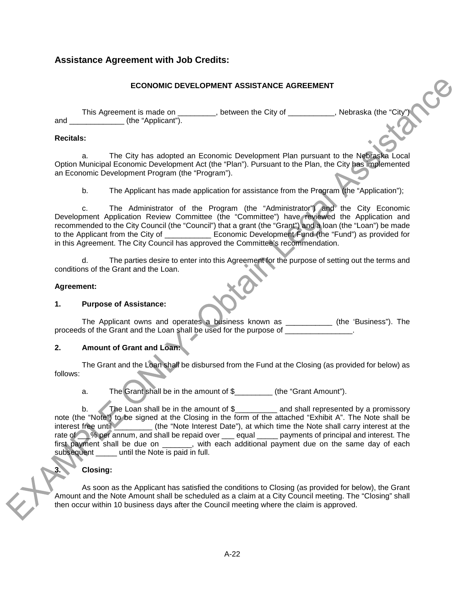## <span id="page-44-0"></span>**Assistance Agreement with Job Credits:**

## **ECONOMIC DEVELOPMENT ASSISTANCE AGREEMENT**

This Agreement is made on \_\_\_\_\_\_\_\_, between the City of \_\_\_\_\_\_\_\_\_, Nebraska (the "City") and  $(the "Application").$ 

## **Recitals:**

a. The City has adopted an Economic Development Plan pursuant to the Nebraska Local Option Municipal Economic Development Act (the "Plan"). Pursuant to the Plan, the City has implemented an Economic Development Program (the "Program").

b. The Applicant has made application for assistance from the Program (the "Application");

c. The Administrator of the Program (the "Administrator") and the City Economic Development Application Review Committee (the "Committee") have reviewed the Application and recommended to the City Council (the "Council") that a grant (the "Grant") and a loan (the "Loan") be made to the Applicant from the City of \_\_\_\_\_\_\_\_\_\_\_\_ Economic Development Fund (the "Fund") as provided for in this Agreement. The City Council has approved the Committee's recommendation.

d. The parties desire to enter into this Agreement for the purpose of setting out the terms and conditions of the Grant and the Loan.

## **Agreement:**

### **1. Purpose of Assistance:**

The Applicant owns and operates a business known as \_\_\_\_\_\_\_\_\_\_\_ (the 'Business"). The proceeds of the Grant and the Loan shall be used for the purpose of

## **2. Amount of Grant and Loan:**

The Grant and the Loan shall be disbursed from the Fund at the Closing (as provided for below) as follows:

a. The Grant shall be in the amount of \$\_\_\_\_\_\_\_\_\_ (the "Grant Amount").

b. The Loan shall be in the amount of \$\_\_\_\_\_\_\_\_\_ and shall represented by a promissory note (the "Note") to be signed at the Closing in the form of the attached "Exhibit A". The Note shall be interest free until \_\_\_\_\_\_\_\_\_ (the "Note Interest Date"), at which time the Note shall carry interest at the rate of \_\_\_% per annum, and shall be repaid over \_\_\_ equal \_\_\_\_\_ payments of principal and interest. The first payment shall be due on \_\_\_\_\_\_, with each additional payment due on the same day of each subsequent \_\_\_\_\_ until the Note is paid in full.

## **3. Closing:**

As soon as the Applicant has satisfied the conditions to Closing (as provided for below), the Grant Amount and the Note Amount shall be scheduled as a claim at a City Council meeting. The "Closing" shall then occur within 10 business days after the Council meeting where the claim is approved.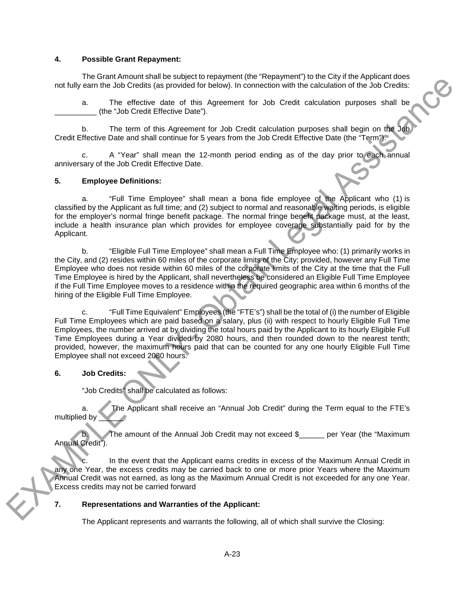### **4. Possible Grant Repayment:**

The Grant Amount shall be subject to repayment (the "Repayment") to the City if the Applicant does not fully earn the Job Credits (as provided for below). In connection with the calculation of the Job Credits:

a. The effective date of this Agreement for Job Credit calculation purposes shall be (the "Job Credit Effective Date").

 $\Box$ 

b. The term of this Agreement for Job Credit calculation purposes shall begin on the Job Credit Effective Date and shall continue for 5 years from the Job Credit Effective Date (the "Term").

c. A "Year" shall mean the 12-month period ending as of the day prior to each annual anniversary of the Job Credit Effective Date.

## **5. Employee Definitions:**

a. "Full Time Employee" shall mean a bona fide employee of the Applicant who (1) is classified by the Applicant as full time; and (2) subject to normal and reasonable waiting periods, is eligible for the employer's normal fringe benefit package. The normal fringe benefit package must, at the least, include a health insurance plan which provides for employee coverage substantially paid for by the Applicant.

b. "Eligible Full Time Employee" shall mean a Full Time Employee who: (1) primarily works in the City, and (2) resides within 60 miles of the corporate limits of the City; provided, however any Full Time Employee who does not reside within 60 miles of the corporate limits of the City at the time that the Full Time Employee is hired by the Applicant, shall nevertheless be considered an Eligible Full Time Employee if the Full Time Employee moves to a residence within the required geographic area within 6 months of the hiring of the Eligible Full Time Employee.

c. "Full Time Equivalent" Employees (the "FTE's") shall be the total of (i) the number of Eligible Full Time Employees which are paid based on a salary, plus (ii) with respect to hourly Eligible Full Time Employees, the number arrived at by dividing the total hours paid by the Applicant to its hourly Eligible Full Time Employees during a Year divided by 2080 hours, and then rounded down to the nearest tenth; provided, however, the maximum hours paid that can be counted for any one hourly Eligible Full Time Employee shall not exceed 2080 hours.

### **6. Job Credits:**

"Job Credits" shall be calculated as follows:

a. The Applicant shall receive an "Annual Job Credit" during the Term equal to the FTE's multiplied by

The amount of the Annual Job Credit may not exceed \$\_\_\_\_\_ per Year (the "Maximum Annual Credit").

In the event that the Applicant earns credits in excess of the Maximum Annual Credit in any one Year, the excess credits may be carried back to one or more prior Years where the Maximum Annual Credit was not earned, as long as the Maximum Annual Credit is not exceeded for any one Year. Excess credits may not be carried forward

### **7. Representations and Warranties of the Applicant:**

The Applicant represents and warrants the following, all of which shall survive the Closing: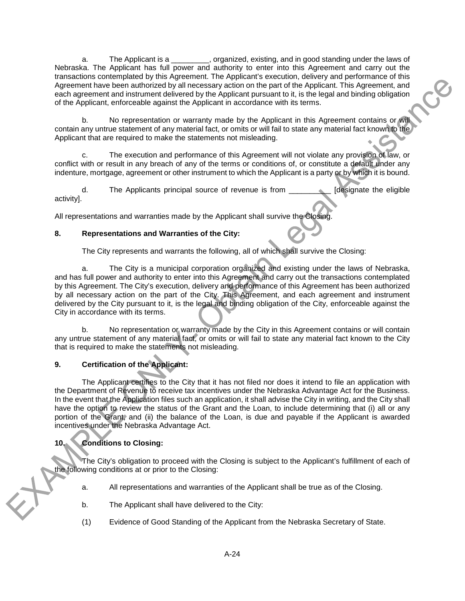a. The Applicant is a \_\_\_\_\_\_\_\_\_, organized, existing, and in good standing under the laws of Nebraska. The Applicant has full power and authority to enter into this Agreement and carry out the transactions contemplated by this Agreement. The Applicant's execution, delivery and performance of this Agreement have been authorized by all necessary action on the part of the Applicant. This Agreement, and each agreement and instrument delivered by the Applicant pursuant to it, is the legal and binding obligation of the Applicant, enforceable against the Applicant in accordance with its terms.

 b. No representation or warranty made by the Applicant in this Agreement contains or will contain any untrue statement of any material fact, or omits or will fail to state any material fact known to the Applicant that are required to make the statements not misleading.

c. The execution and performance of this Agreement will not violate any provision of law, or conflict with or result in any breach of any of the terms or conditions of, or constitute a default under any indenture, mortgage, agreement or other instrument to which the Applicant is a party or by which it is bound.

d. The Applicants principal source of revenue is from \_\_\_\_\_\_\_\_\_\_ [designate the eligible activity].

All representations and warranties made by the Applicant shall survive the Closing.

## **8. Representations and Warranties of the City:**

The City represents and warrants the following, all of which shall survive the Closing:

a. The City is a municipal corporation organized and existing under the laws of Nebraska, and has full power and authority to enter into this Agreement and carry out the transactions contemplated by this Agreement. The City's execution, delivery and performance of this Agreement has been authorized by all necessary action on the part of the City. This Agreement, and each agreement and instrument delivered by the City pursuant to it, is the legal and binding obligation of the City, enforceable against the City in accordance with its terms.

b. No representation or warranty made by the City in this Agreement contains or will contain any untrue statement of any material fact, or omits or will fail to state any material fact known to the City that is required to make the statements not misleading.

## **9. Certification of the Applicant:**

The Applicant certifies to the City that it has not filed nor does it intend to file an application with the Department of Revenue to receive tax incentives under the Nebraska Advantage Act for the Business. In the event that the Application files such an application, it shall advise the City in writing, and the City shall have the option to review the status of the Grant and the Loan, to include determining that (i) all or any portion of the Grant, and (ii) the balance of the Loan, is due and payable if the Applicant is awarded incentives under the Nebraska Advantage Act.

## **10. Conditions to Closing:**

The City's obligation to proceed with the Closing is subject to the Applicant's fulfillment of each of the following conditions at or prior to the Closing:

- a. All representations and warranties of the Applicant shall be true as of the Closing.
- b. The Applicant shall have delivered to the City:
- (1) Evidence of Good Standing of the Applicant from the Nebraska Secretary of State.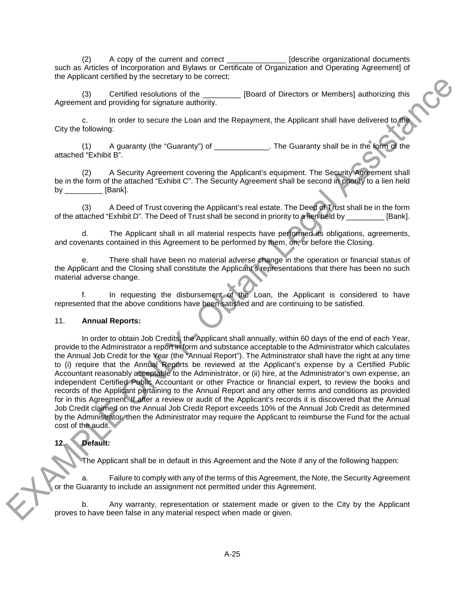(2) A copy of the current and correct \_\_\_\_\_\_\_\_\_\_\_\_\_\_ [describe organizational documents such as Articles of Incorporation and Bylaws or Certificate of Organization and Operating Agreement] of the Applicant certified by the secretary to be correct;

Certified resolutions of the **EXEC EXECUTE:** [Board of Directors or Members] authorizing this Agreement and providing for signature authority.

c. In order to secure the Loan and the Repayment, the Applicant shall have delivered to the City the following:

(1) A guaranty (the "Guaranty") of \_\_\_\_\_\_\_\_\_\_\_\_\_. The Guaranty shall be in the form of the attached "Exhibit B".

(2) A Security Agreement covering the Applicant's equipment. The Security Agreement shall be in the form of the attached "Exhibit C". The Security Agreement shall be second in priority to a lien held by **[Bank]**.

(3) A Deed of Trust covering the Applicant's real estate. The Deed of Trust shall be in the form of the attached "Exhibit D". The Deed of Trust shall be second in priority to a lien held by \_\_\_\_\_\_\_\_\_ [Bank].

d. The Applicant shall in all material respects have performed its obligations, agreements, and covenants contained in this Agreement to be performed by them, on, or before the Closing.

e. There shall have been no material adverse change in the operation or financial status of the Applicant and the Closing shall constitute the Applicant's representations that there has been no such material adverse change.

f. In requesting the disbursement of the Loan, the Applicant is considered to have represented that the above conditions have been satisfied and are continuing to be satisfied.

#### 11. **Annual Reports:**

In order to obtain Job Credits, the Applicant shall annually, within 60 days of the end of each Year, provide to the Administrator a report in form and substance acceptable to the Administrator which calculates the Annual Job Credit for the Year (the "Annual Report"). The Administrator shall have the right at any time to (i) require that the Annual Reports be reviewed at the Applicant's expense by a Certified Public Accountant reasonably acceptable to the Administrator, or (ii) hire, at the Administrator's own expense, an independent Certified Public Accountant or other Practice or financial expert, to review the books and records of the Applicant pertaining to the Annual Report and any other terms and conditions as provided for in this Agreement. If after a review or audit of the Applicant's records it is discovered that the Annual Job Credit claimed on the Annual Job Credit Report exceeds 10% of the Annual Job Credit as determined by the Administrator, then the Administrator may require the Applicant to reimburse the Fund for the actual cost of the audit.

## **12. Default:**

The Applicant shall be in default in this Agreement and the Note if any of the following happen:

a. Failure to comply with any of the terms of this Agreement, the Note, the Security Agreement or the Guaranty to include an assignment not permitted under this Agreement.

b. Any warranty, representation or statement made or given to the City by the Applicant proves to have been false in any material respect when made or given.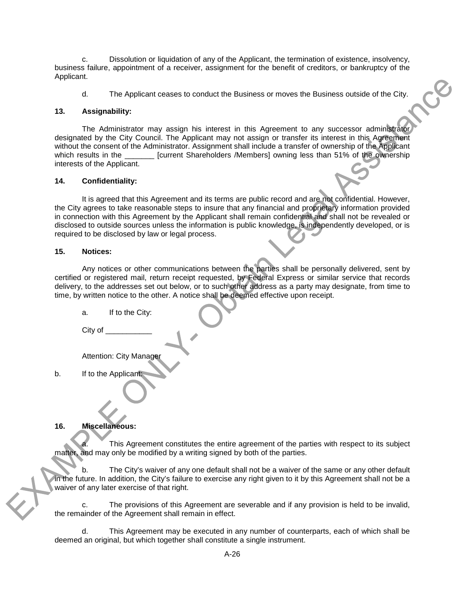c. Dissolution or liquidation of any of the Applicant, the termination of existence, insolvency, business failure, appointment of a receiver, assignment for the benefit of creditors, or bankruptcy of the Applicant.

d. The Applicant ceases to conduct the Business or moves the Business outside of the City.

### **13. Assignability:**

The Administrator may assign his interest in this Agreement to any successor administrator designated by the City Council. The Applicant may not assign or transfer its interest in this Agreement without the consent of the Administrator. Assignment shall include a transfer of ownership of the Applicant which results in the **Example 1** [current Shareholders /Members] owning less than 51% of the ownership interests of the Applicant.

## **14. Confidentiality:**

It is agreed that this Agreement and its terms are public record and are not confidential. However, the City agrees to take reasonable steps to insure that any financial and proprietary information provided in connection with this Agreement by the Applicant shall remain confidential and shall not be revealed or disclosed to outside sources unless the information is public knowledge, is independently developed, or is required to be disclosed by law or legal process.

#### **15. Notices:**

Any notices or other communications between the parties shall be personally delivered, sent by certified or registered mail, return receipt requested, by Federal Express or similar service that records delivery, to the addresses set out below, or to such other address as a party may designate, from time to time, by written notice to the other. A notice shall be deemed effective upon receipt.

a. If to the City:

City of

Attention: City Manager

b. If to the Applicant:

## **16. Miscellaneous:**

This Agreement constitutes the entire agreement of the parties with respect to its subject matter, and may only be modified by a writing signed by both of the parties.

b. The City's waiver of any one default shall not be a waiver of the same or any other default in the future. In addition, the City's failure to exercise any right given to it by this Agreement shall not be a waiver of any later exercise of that right.

c. The provisions of this Agreement are severable and if any provision is held to be invalid, the remainder of the Agreement shall remain in effect.

d. This Agreement may be executed in any number of counterparts, each of which shall be deemed an original, but which together shall constitute a single instrument.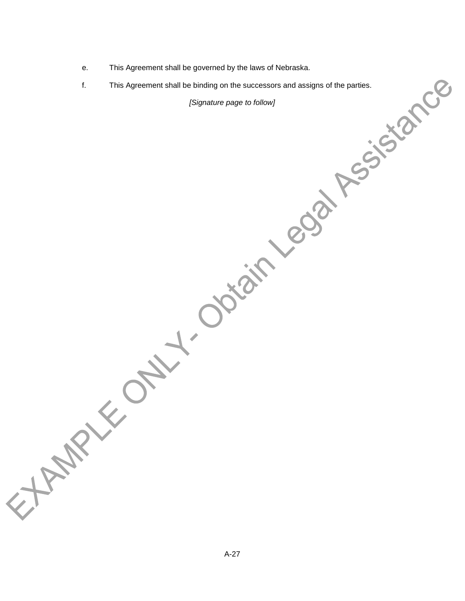- e. This Agreement shall be governed by the laws of Nebraska.
- f. This Agreement shall be binding on the successors and assigns of the parties.

*[Signature page to follow]*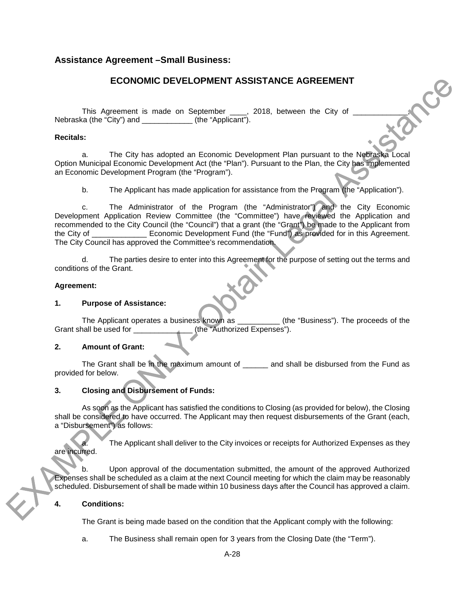## <span id="page-50-0"></span>**Assistance Agreement –Small Business:**

## **ECONOMIC DEVELOPMENT ASSISTANCE AGREEMENT**

This Agreement is made on September \_\_\_\_, 2018, between the City of Nebraska (the "City") and  $($ the "Applicant").

## **Recitals:**

a. The City has adopted an Economic Development Plan pursuant to the Nebraska Local Option Municipal Economic Development Act (the "Plan"). Pursuant to the Plan, the City has implemented an Economic Development Program (the "Program").

b. The Applicant has made application for assistance from the Program (the "Application").

c. The Administrator of the Program (the "Administrator") and the City Economic Development Application Review Committee (the "Committee") have reviewed the Application and recommended to the City Council (the "Council") that a grant (the "Grant") be made to the Applicant from the City of \_\_\_\_\_\_\_\_\_\_\_\_\_ Economic Development Fund (the "Fund") as provided for in this Agreement. The City Council has approved the Committee's recommendation.

d. The parties desire to enter into this Agreement for the purpose of setting out the terms and conditions of the Grant.

## **Agreement:**

### **1. Purpose of Assistance:**

The Applicant operates a business known as \_\_\_\_\_\_\_\_\_\_ (the "Business"). The proceeds of the Grant shall be used for  $(the "Authorized Expenses").$ (the "Authorized Expenses").

## **2. Amount of Grant:**

The Grant shall be in the maximum amount of and shall be disbursed from the Fund as provided for below.

## **3. Closing and Disbursement of Funds:**

As soon as the Applicant has satisfied the conditions to Closing (as provided for below), the Closing shall be considered to have occurred. The Applicant may then request disbursements of the Grant (each, a "Disbursement") as follows:

The Applicant shall deliver to the City invoices or receipts for Authorized Expenses as they are incurred.

b. Upon approval of the documentation submitted, the amount of the approved Authorized Expenses shall be scheduled as a claim at the next Council meeting for which the claim may be reasonably scheduled. Disbursement of shall be made within 10 business days after the Council has approved a claim.

#### **4. Conditions:**

The Grant is being made based on the condition that the Applicant comply with the following:

a. The Business shall remain open for 3 years from the Closing Date (the "Term").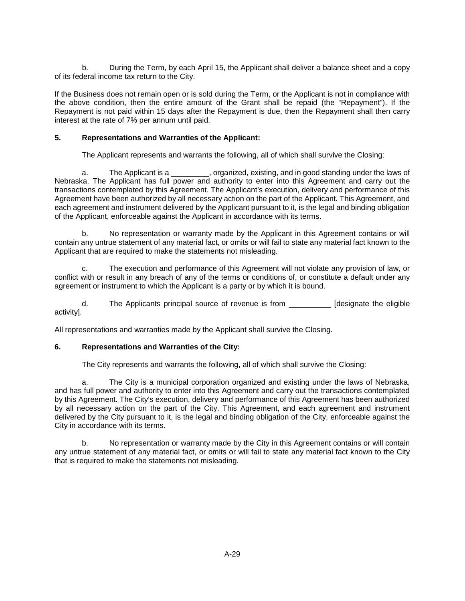b. During the Term, by each April 15, the Applicant shall deliver a balance sheet and a copy of its federal income tax return to the City.

If the Business does not remain open or is sold during the Term, or the Applicant is not in compliance with the above condition, then the entire amount of the Grant shall be repaid (the "Repayment"). If the Repayment is not paid within 15 days after the Repayment is due, then the Repayment shall then carry interest at the rate of 7% per annum until paid.

## **5. Representations and Warranties of the Applicant:**

The Applicant represents and warrants the following, all of which shall survive the Closing:

a. The Applicant is a \_\_\_\_\_\_\_, organized, existing, and in good standing under the laws of Nebraska. The Applicant has full power and authority to enter into this Agreement and carry out the transactions contemplated by this Agreement. The Applicant's execution, delivery and performance of this Agreement have been authorized by all necessary action on the part of the Applicant. This Agreement, and each agreement and instrument delivered by the Applicant pursuant to it, is the legal and binding obligation of the Applicant, enforceable against the Applicant in accordance with its terms.

 b. No representation or warranty made by the Applicant in this Agreement contains or will contain any untrue statement of any material fact, or omits or will fail to state any material fact known to the Applicant that are required to make the statements not misleading.

c. The execution and performance of this Agreement will not violate any provision of law, or conflict with or result in any breach of any of the terms or conditions of, or constitute a default under any agreement or instrument to which the Applicant is a party or by which it is bound.

d. The Applicants principal source of revenue is from \_\_\_\_\_\_\_\_\_\_ [designate the eligible activity].

All representations and warranties made by the Applicant shall survive the Closing.

#### **6. Representations and Warranties of the City:**

The City represents and warrants the following, all of which shall survive the Closing:

a. The City is a municipal corporation organized and existing under the laws of Nebraska, and has full power and authority to enter into this Agreement and carry out the transactions contemplated by this Agreement. The City's execution, delivery and performance of this Agreement has been authorized by all necessary action on the part of the City. This Agreement, and each agreement and instrument delivered by the City pursuant to it, is the legal and binding obligation of the City, enforceable against the City in accordance with its terms.

b. No representation or warranty made by the City in this Agreement contains or will contain any untrue statement of any material fact, or omits or will fail to state any material fact known to the City that is required to make the statements not misleading.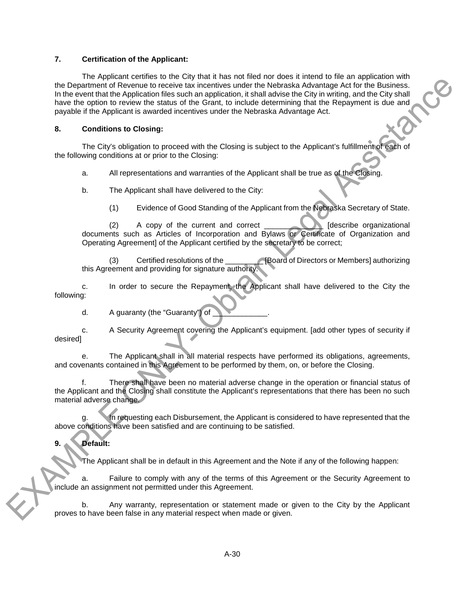### **7. Certification of the Applicant:**

The Applicant certifies to the City that it has not filed nor does it intend to file an application with the Department of Revenue to receive tax incentives under the Nebraska Advantage Act for the Business. In the event that the Application files such an application, it shall advise the City in writing, and the City shall have the option to review the status of the Grant, to include determining that the Repayment is due and payable if the Applicant is awarded incentives under the Nebraska Advantage Act.

## **8. Conditions to Closing:**

The City's obligation to proceed with the Closing is subject to the Applicant's fulfillment of each of the following conditions at or prior to the Closing:

a. All representations and warranties of the Applicant shall be true as of the Closing.

- b. The Applicant shall have delivered to the City:
	- (1) Evidence of Good Standing of the Applicant from the Nebraska Secretary of State.

(2) A copy of the current and correct  $\qquad \qquad$  [describe organizational documents such as Articles of Incorporation and Bylaws or Certificate of Organization and Operating Agreement] of the Applicant certified by the secretary to be correct;

(3) Certified resolutions of the \_\_\_\_\_\_\_\_\_ [Board of Directors or Members] authorizing this Agreement and providing for signature authority.

c. In order to secure the Repayment, the Applicant shall have delivered to the City the following:

d. A guaranty (the "Guaranty") of

c. A Security Agreement covering the Applicant's equipment. [add other types of security if desired]

e. The Applicant shall in all material respects have performed its obligations, agreements, and covenants contained in this Agreement to be performed by them, on, or before the Closing.

There shall have been no material adverse change in the operation or financial status of the Applicant and the Closing shall constitute the Applicant's representations that there has been no such material adverse change.

In requesting each Disbursement, the Applicant is considered to have represented that the above conditions have been satisfied and are continuing to be satisfied.

## **9. Default:**

The Applicant shall be in default in this Agreement and the Note if any of the following happen:

a. Failure to comply with any of the terms of this Agreement or the Security Agreement to include an assignment not permitted under this Agreement.

b. Any warranty, representation or statement made or given to the City by the Applicant proves to have been false in any material respect when made or given.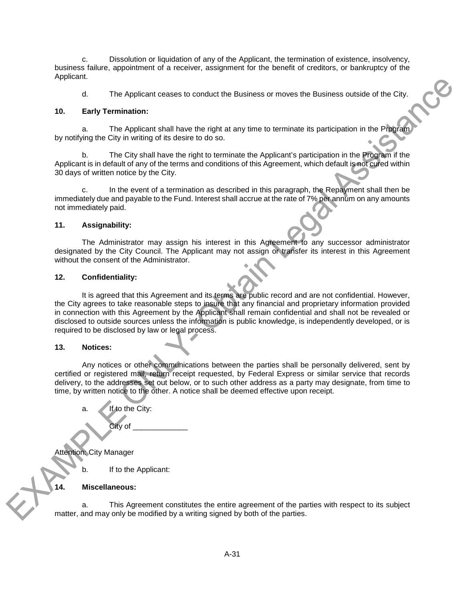c. Dissolution or liquidation of any of the Applicant, the termination of existence, insolvency, business failure, appointment of a receiver, assignment for the benefit of creditors, or bankruptcy of the Applicant.

d. The Applicant ceases to conduct the Business or moves the Business outside of the City.

### **10. Early Termination:**

a. The Applicant shall have the right at any time to terminate its participation in the Program by notifying the City in writing of its desire to do so.

b. The City shall have the right to terminate the Applicant's participation in the Program if the Applicant is in default of any of the terms and conditions of this Agreement, which default is not cured within 30 days of written notice by the City.

In the event of a termination as described in this paragraph, the Repayment shall then be immediately due and payable to the Fund. Interest shall accrue at the rate of 7% per annum on any amounts not immediately paid.

## **11. Assignability:**

The Administrator may assign his interest in this Agreement to any successor administrator designated by the City Council. The Applicant may not assign or transfer its interest in this Agreement without the consent of the Administrator.

## **12. Confidentiality:**

It is agreed that this Agreement and its terms are public record and are not confidential. However, the City agrees to take reasonable steps to insure that any financial and proprietary information provided in connection with this Agreement by the Applicant shall remain confidential and shall not be revealed or disclosed to outside sources unless the information is public knowledge, is independently developed, or is required to be disclosed by law or legal process.

#### **13. Notices:**

Any notices or other communications between the parties shall be personally delivered, sent by certified or registered mail, return receipt requested, by Federal Express or similar service that records delivery, to the addresses set out below, or to such other address as a party may designate, from time to time, by written notice to the other. A notice shall be deemed effective upon receipt.

a. If to the City: City of \_\_\_\_\_\_\_\_\_\_\_\_\_\_\_ Attention: City Manager b. If to the Applicant:

#### **14. Miscellaneous:**

a. This Agreement constitutes the entire agreement of the parties with respect to its subject matter, and may only be modified by a writing signed by both of the parties.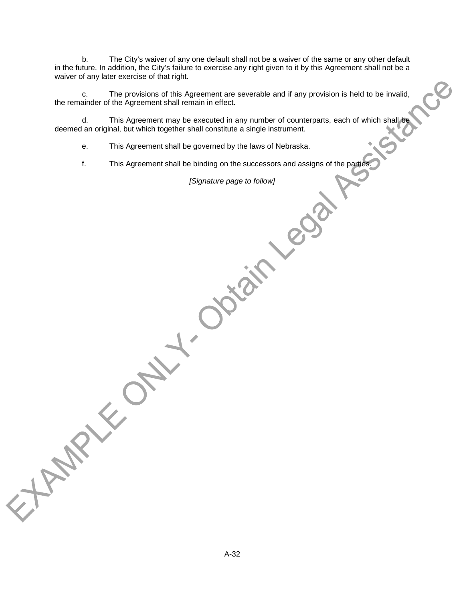b. The City's waiver of any one default shall not be a waiver of the same or any other default in the future. In addition, the City's failure to exercise any right given to it by this Agreement shall not be a waiver of any later exercise of that right.

c. The provisions of this Agreement are severable and if any provision is held to be invalid, the remainder of the Agreement shall remain in effect.

d. This Agreement may be executed in any number of counterparts, each of which shall be deemed an original, but which together shall constitute a single instrument.

e. This Agreement shall be governed by the laws of Nebraska.

f. This Agreement shall be binding on the successors and assigns of the parties.

*[Signature page to follow]*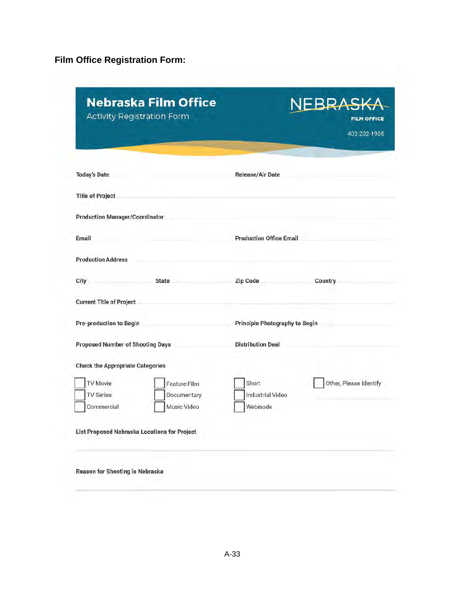<span id="page-55-0"></span>**Film Office Registration Form:**

|                                         | <b>Activity Registration Form</b>            |                                | <b>FILM OFFICE</b><br>402-202-1905 |
|-----------------------------------------|----------------------------------------------|--------------------------------|------------------------------------|
| <b>Today's Date</b>                     |                                              | <b>Release/Air Date</b>        |                                    |
| <b>Title of Project</b>                 |                                              |                                |                                    |
| <b>Production Manager/Coordinator</b>   |                                              |                                |                                    |
| Email                                   |                                              | <b>Production Office Email</b> |                                    |
| <b>Production Address</b>               |                                              |                                |                                    |
| City                                    | <b>State</b>                                 | Zip Code                       | Country                            |
| <b>Current Title of Project</b>         |                                              |                                |                                    |
| <b>Pre-production to Begin</b>          |                                              | Principle Photography to Begin |                                    |
| <b>Proposed Number of Shooting Days</b> |                                              | <b>Distribution Deal</b>       |                                    |
| <b>Check the Appropriate Categories</b> |                                              |                                |                                    |
| <b>TV Movie</b>                         | Feature Film                                 | Short                          | Other, Please Identify             |
| <b>TV Series</b>                        | Documentary                                  | <b>Industrial Video</b>        |                                    |
| Commercial                              | Music Video                                  | Webisode                       |                                    |
|                                         | List Proposed Nebraska Locations for Project |                                |                                    |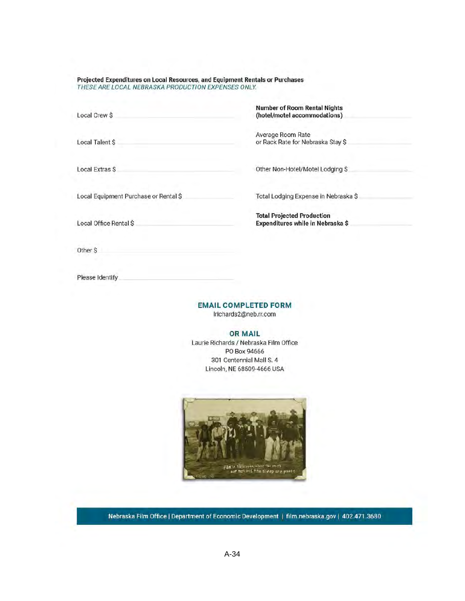Projected Expenditures on Local Resources, and Equipment Rentals or Purchases THESE ARE LOCAL NEBRASKA PRODUCTION EXPENSES ONLY.

Local Crew \$

Local Talent \$

**Local Extras S** 

Local Equipment Purchase or Rental \$

Local Office Rental \$

**Number of Room Rental Nights** (hotel/motel accommodations)

Average Room Rate or Rack Rate for Nebraska Stay \$

Other Non-Hotel/Motel Lodging \$

Total Lodging Expense in Nebraska \$

**Total Projected Production** Expenditures while in Nebraska \$

Please Identify

Other \$

**EMAIL COMPLETED FORM** 

Irichards2@neb.rr.com

**OR MAIL** 

Laurie Richards / Nebraska Film Office PO Box 94666 301 Centennial Mall S. 4 Lincoln, NE 68509-4666 USA



Nebraska Film Office | Department of Economic Development | film.nebraska.gov | 402.471.3680